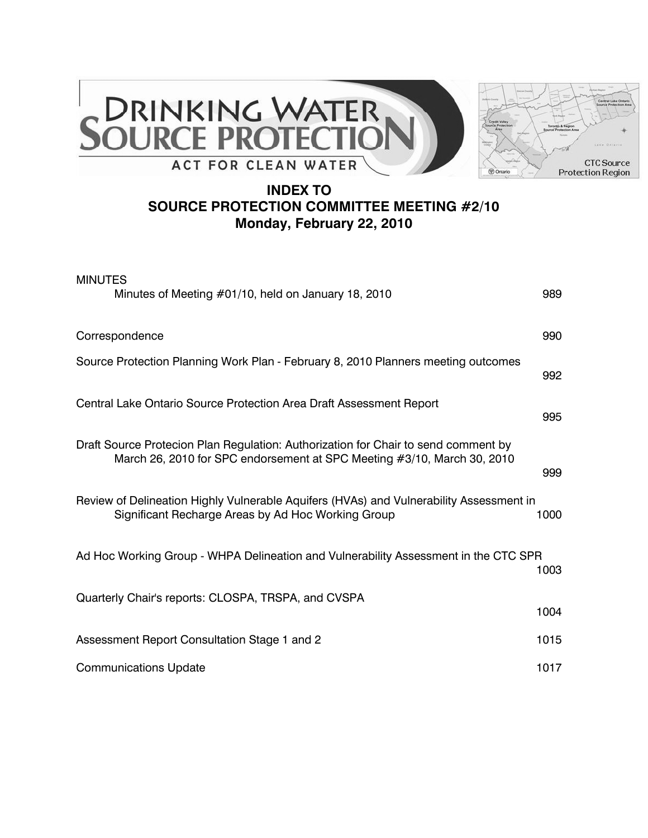



## **INDEX TO SOURCE PROTECTION COMMITTEE MEETING #2/10 Monday, February 22, 2010**

| <b>MINUTES</b><br>Minutes of Meeting #01/10, held on January 18, 2010                                                                                         | 989  |
|---------------------------------------------------------------------------------------------------------------------------------------------------------------|------|
| Correspondence                                                                                                                                                | 990  |
| Source Protection Planning Work Plan - February 8, 2010 Planners meeting outcomes                                                                             | 992  |
| Central Lake Ontario Source Protection Area Draft Assessment Report                                                                                           | 995  |
| Draft Source Protecion Plan Regulation: Authorization for Chair to send comment by<br>March 26, 2010 for SPC endorsement at SPC Meeting #3/10, March 30, 2010 | 999  |
| Review of Delineation Highly Vulnerable Aquifers (HVAs) and Vulnerability Assessment in<br>Significant Recharge Areas by Ad Hoc Working Group                 | 1000 |
| Ad Hoc Working Group - WHPA Delineation and Vulnerability Assessment in the CTC SPR                                                                           | 1003 |
| Quarterly Chair's reports: CLOSPA, TRSPA, and CVSPA                                                                                                           | 1004 |
| Assessment Report Consultation Stage 1 and 2                                                                                                                  | 1015 |
| <b>Communications Update</b>                                                                                                                                  | 1017 |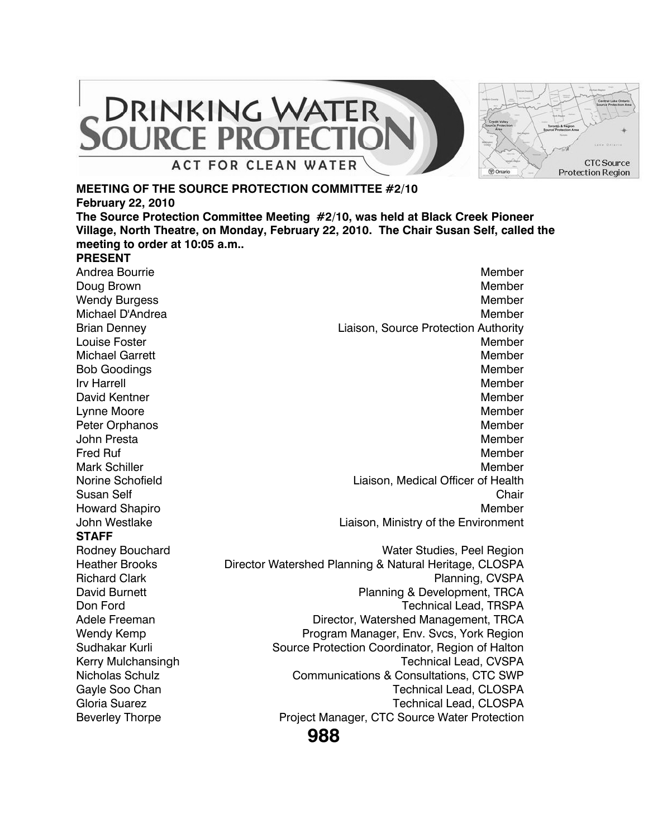

#### **MEETING OF THE SOURCE PROTECTION COMMITTEE #2/10**

**February 22, 2010**

**The Source Protection Committee Meeting #2/10, was held at Black Creek Pioneer Village, North Theatre, on Monday, February 22, 2010. The Chair Susan Self, called the meeting to order at 10:05 a.m..**

#### **PRESENT**

**STAFF** Wendy Kemp **Program Manager, Env. Svcs, York Region** Sudhakar Kurli Source Protection Coordinator, Region of Halton Kerry Mulchansingh Technical Lead, CVSPA Nicholas Schulz **Communications & Consultations, CTC SWP** Gayle Soo Chan Technical Lead, CLOSPA Gloria Suarez **Technical Lead, CLOSPA** Beverley Thorpe **Project Manager, CTC Source Water Protection** 

Andrea Bourrie New York (1999) and the Member of the Member of the Member of the Member of the Member of the Member Doug Brown Member (1999) and the state of the state of the state of the Member (1999) and the Member (1999) and the Member (1999) and the Member (1999) and the Member (1999) and the Member (1999) and the Member (1999) and Wendy Burgess **Member** Member and Society and Society and Society and Society and Society and Society and Society and Society and Society and Society and Society and Society and Society and Society and Society and Society Michael D'Andrea Member (1999) and the Member of the Member (1999) and the Member (1999) and the Member (1999) Brian Denney Liaison, Source Protection Authority **Louise Foster Member 2008** Michael Garrett New York 1988 (1999) 1999 (1999) 1999 (1999) 1999 (1999) 1999 (1999) 1999 (1999) 1999 (1999) 1 Bob Goodings Member (1999) and the state of the state of the state of the Member (1999) and the state of the state of the state of the state of the state of the state of the state of the state of the state of the state of Irv Harrell **Member** and the state of the state of the state of the state of the Member David Kentner Member Member Member Member Member Member Member Member Member Member Member Member Member Member Lynne Moore Noore Moore (1999) and the Member of the Member of the Member of the Member of the Member of the Member Peter Orphanos **Member** Member and Member and Member and Member and Member and Member and Member and Member and Member and Member and Member and Member and Member and Member and Member and Member and Member and Member and John Presta New York and Superior Contract Contract of the Member New York and Member Fred Ruf Nember and The Second Second Second Second Second Second Second Second Second Second Second Second Se Mark Schiller Mark Schiller Member and the Member of the Member of the Member of the Member of the Member of the Member of the Member of the Member of the Member of the Member of the Member of the Member of the Member of t Norine Schofield Liaison, Medical Officer of Health Susan Self Chair Chair Chair Chair Chair Chair Chair Chair Chair Chair Chair Chair Chair Chair Chair Chair Chair Howard Shapiro **Member** News, 2008, 2008, 2008, 2009, 2008, 2009, 2009, 2009, 2009, 2009, 2009, 2009, 2009, 2009, 2009, 2009, 2009, 2009, 2009, 2009, 2009, 2009, 2009, 2009, 2009, 2009, 2009, 2009, 2009, 2009, 2009, 2009, John Westlake **Liaison**, Ministry of the Environment Rodney Bouchard **National Studies**, Peel Region Heather Brooks Director Watershed Planning & Natural Heritage, CLOSPA Richard Clark **Planning, CVSPA** David Burnett **Planning & Development, TRCA** Don Ford Technical Lead, TRSPA Adele Freeman **Director, Watershed Management, TRCA** 

**988**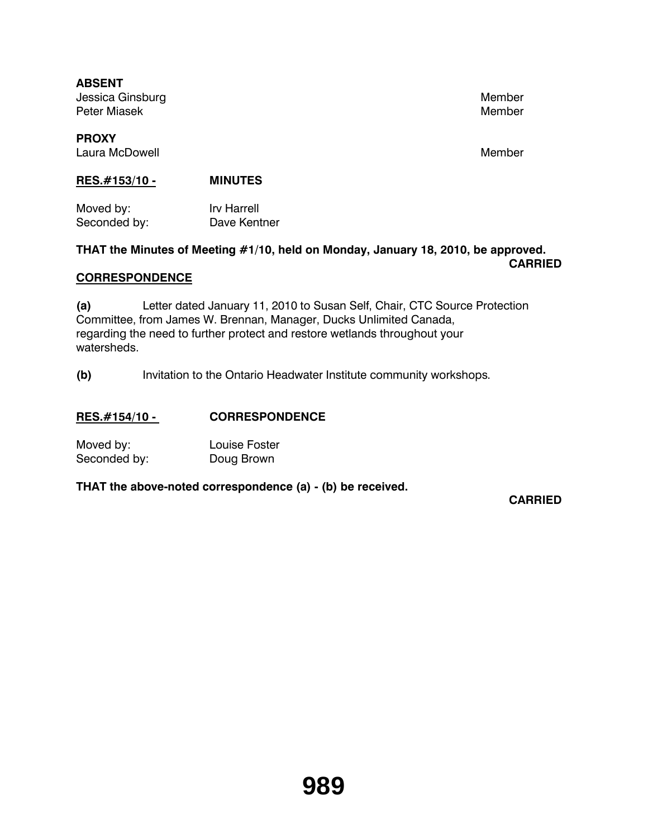**ABSENT** Jessica Ginsburg Member and the Contract of the Member of the Member and Member and Member and Member and Member Peter Miasek Member Member Member Member Member Member Member Member Member Member Member Member Member Member

## **PROXY** Laura McDowell **Member** Member and Member and Member and Member and Member and Member and Member and Member and Member and Member and Member and Member and Member and Member and Member and Member and Member and Member and

## **RES.#153/10 - MINUTES**

Moved by: Irv Harrell Seconded by: Dave Kentner

#### **THAT the Minutes of Meeting #1/10, held on Monday, January 18, 2010, be approved. CARRIED**

## **CORRESPONDENCE**

**(a)** Letter dated January 11, 2010 to Susan Self, Chair, CTC Source Protection Committee, from James W. Brennan, Manager, Ducks Unlimited Canada, regarding the need to further protect and restore wetlands throughout your watersheds.

**(b)** Invitation to the Ontario Headwater Institute community workshops.

## **RES.#154/10 - CORRESPONDENCE**

| Moved by:    | <b>Louise Foster</b> |
|--------------|----------------------|
| Seconded by: | Doug Brown           |

**THAT the above-noted correspondence (a) - (b) be received.** 

**CARRIED**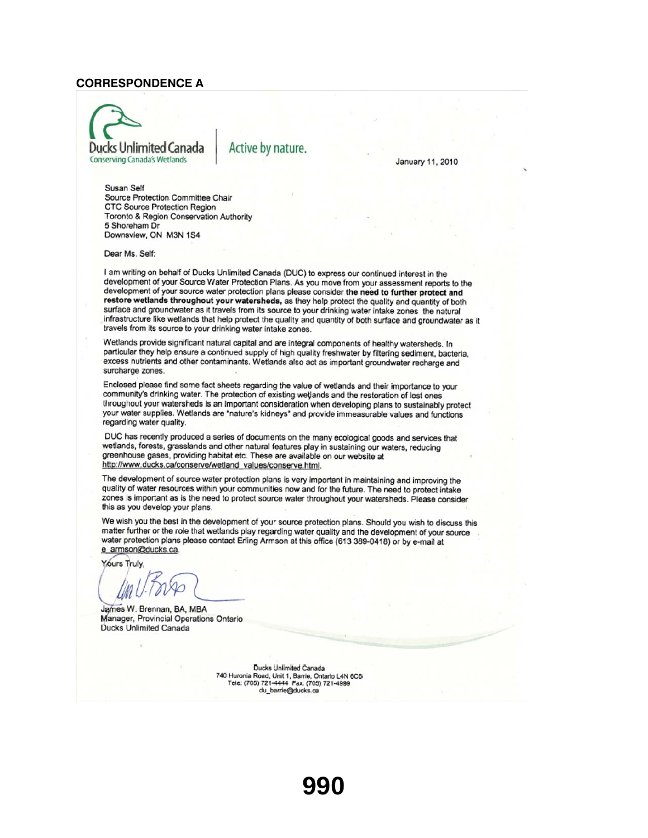#### **CORRESPONDENCE A**



Active by nature.

January 11, 2010

Susan Self Source Protection Committee Chair CTC Source Protection Region Toronto & Region Conservation Authority 5 Shoreham Dr Downsview, ON M3N 1S4

Dear Ms. Self:

I am writing on behalf of Ducks Unlimited Canada (DUC) to express our continued interest in the development of your Source Water Protection Plans. As you move from your assessment reports to the development of your source water protection plans please consider the need to further protect and restore wetlands throughout your watersheds, as they help protect the quality and quantity of both surface and groundwater as it travels from its source to your drinking water intake zones the natural infrastructure like wetlands that help protect the quality and quantity of both surface and groundwater as it travels from its source to your drinking water intake zones.

Wetlands provide significant natural capital and are integral components of healthy watersheds. In particular they help ensure a continued supply of high quality freshwater by filtering sediment, bacteria, excess nutrients and other contaminants. Wetlands also act as important groundwater recharge and surcharge zones.

Enclosed please find some fact sheets regarding the value of wetlands and their importance to your community's drinking water. The protection of existing wetlands and the restoration of lost ones throughout your watersheds is an important consideration when developing plans to sustainably protect your water supplies. Wetlands are "nature's kidneys" and provide immeasurable values and functions regarding water quality.

DUC has recently produced a series of documents on the many ecological goods and services that wetlands, forests, grasslands and other natural features play in sustaining our waters, reducing greenhouse gases, providing habitat etc. These are available on our website at http://www.ducks.ca/conserve/wetland\_values/conserve.html.

The development of source water protection plans is very important in maintaining and improving the quality of water resources within your communities now and for the future. The need to protect intake zones is important as is the need to protect source water throughout your watersheds. Please consider this as you develop your plans.

We wish you the best in the development of your source protection plans. Should you wish to discuss this matter further or the role that wetlands play regarding water quality and the development of your source water protection plans please contact Erling Armson at this office (613 389-0418) or by e-mail at e armson@ducks.ca.

Yours Truly,

James W. Brennan, BA, MBA Manager, Provincial Operations Ontario Ducks Unlimited Canada

Ducks Unlimited Canada 740 Huronia Road, Unit 1, Barrie, Ontario L4N 6C6<br>Tele: (705) 721-4444 Fax. (705) 721-4999 du barrie@ducks.ca

**990**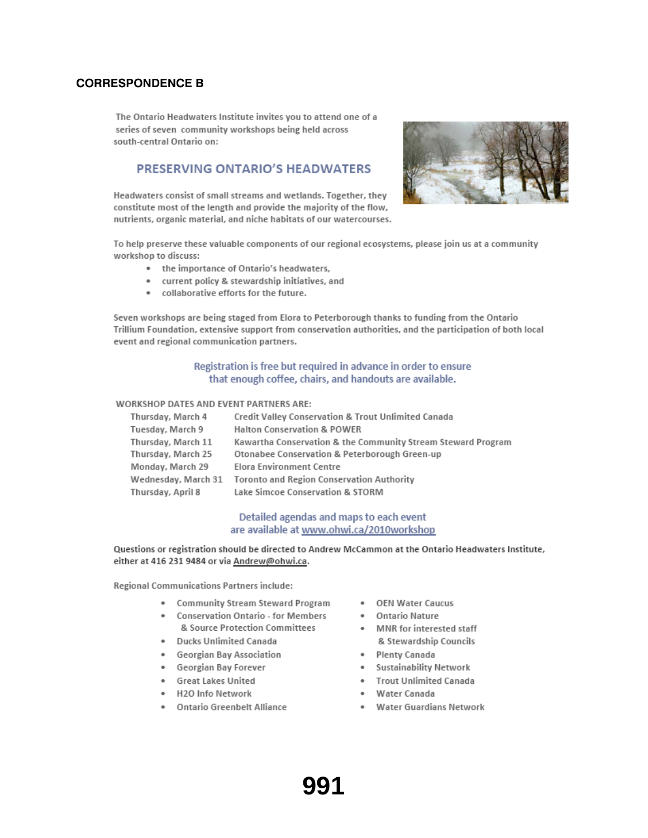#### **CORRESPONDENCE B**

The Ontario Headwaters Institute invites you to attend one of a series of seven community workshops being held across south-central Ontario on:

#### PRESERVING ONTARIO'S HEADWATERS

Headwaters consist of small streams and wetlands. Together, they constitute most of the length and provide the majority of the flow, nutrients, organic material, and niche habitats of our watercourses.



To help preserve these valuable components of our regional ecosystems, please join us at a community workshop to discuss:

- the importance of Ontario's headwaters,
- current policy & stewardship initiatives, and
- . collaborative efforts for the future.

Seven workshops are being staged from Elora to Peterborough thanks to funding from the Ontario Trillium Foundation, extensive support from conservation authorities, and the participation of both local event and regional communication partners.

#### Registration is free but required in advance in order to ensure that enough coffee, chairs, and handouts are available.

#### **WORKSHOP DATES AND EVENT PARTNERS ARE:**

| Thursday, March 4   | Credit Valley Conservation & Trout Unlimited Canada          |
|---------------------|--------------------------------------------------------------|
| Tuesday, March 9    | <b>Halton Conservation &amp; POWER</b>                       |
| Thursday, March 11  | Kawartha Conservation & the Community Stream Steward Program |
| Thursday, March 25  | Otonabee Conservation & Peterborough Green-up                |
| Monday, March 29    | Elora Environment Centre                                     |
| Wednesday, March 31 | Toronto and Region Conservation Authority                    |
| Thursday, April 8   | Lake Simcoe Conservation & STORM                             |

#### Detailed agendas and maps to each event are available at www.ohwi.ca/2010workshop

Questions or registration should be directed to Andrew McCammon at the Ontario Headwaters Institute, either at 416 231 9484 or via Andrew@ohwi.ca.

Regional Communications Partners include:

- Community Stream Steward Program
- Conservation Ontario for Members & Source Protection Committees
- · Ducks Unlimited Canada
- Georgian Bay Association
- Georgian Bay Forever
- · Great Lakes United
- · H2O Info Network
- Ontario Greenbelt Alliance
- OEN Water Caucus
- · Ontario Nature
- MNR for interested staff & Stewardship Councils
	- · Plenty Canada
	- Sustainability Network
	- · Trout Unlimited Canada
	- Water Canada
	- Water Guardians Network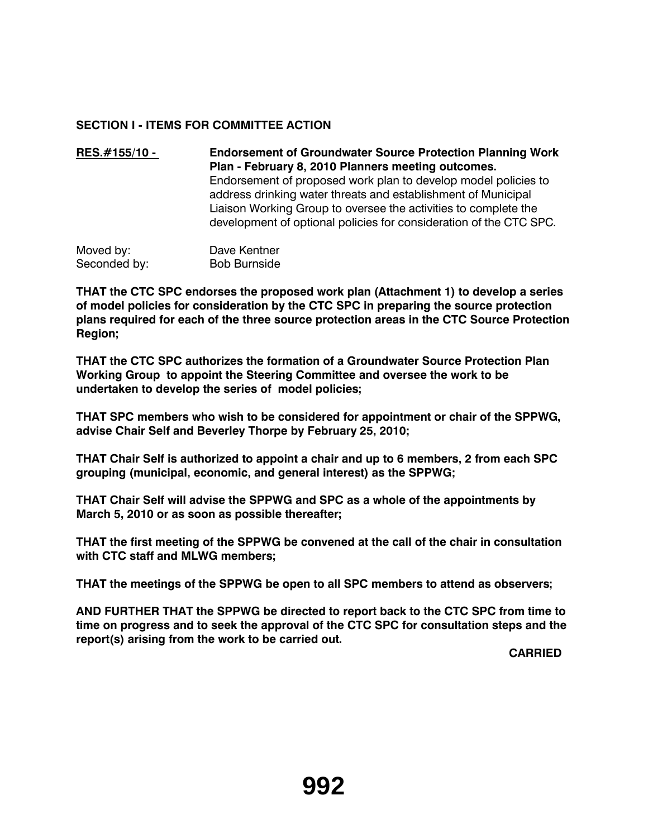## **SECTION I - ITEMS FOR COMMITTEE ACTION**

**RES.#155/10 - Endorsement of Groundwater Source Protection Planning Work Plan - February 8, 2010 Planners meeting outcomes.**  Endorsement of proposed work plan to develop model policies to address drinking water threats and establishment of Municipal Liaison Working Group to oversee the activities to complete the development of optional policies for consideration of the CTC SPC.

Moved by: Dave Kentner Seconded by: Bob Burnside

**THAT the CTC SPC endorses the proposed work plan (Attachment 1) to develop a series of model policies for consideration by the CTC SPC in preparing the source protection plans required for each of the three source protection areas in the CTC Source Protection Region;**

**THAT the CTC SPC authorizes the formation of a Groundwater Source Protection Plan Working Group to appoint the Steering Committee and oversee the work to be undertaken to develop the series of model policies;**

**THAT SPC members who wish to be considered for appointment or chair of the SPPWG, advise Chair Self and Beverley Thorpe by February 25, 2010;**

**THAT Chair Self is authorized to appoint a chair and up to 6 members, 2 from each SPC grouping (municipal, economic, and general interest) as the SPPWG;**

**THAT Chair Self will advise the SPPWG and SPC as a whole of the appointments by March 5, 2010 or as soon as possible thereafter;**

**THAT the first meeting of the SPPWG be convened at the call of the chair in consultation with CTC staff and MLWG members;**

**THAT the meetings of the SPPWG be open to all SPC members to attend as observers;**

**AND FURTHER THAT the SPPWG be directed to report back to the CTC SPC from time to time on progress and to seek the approval of the CTC SPC for consultation steps and the report(s) arising from the work to be carried out.**

**CARRIED**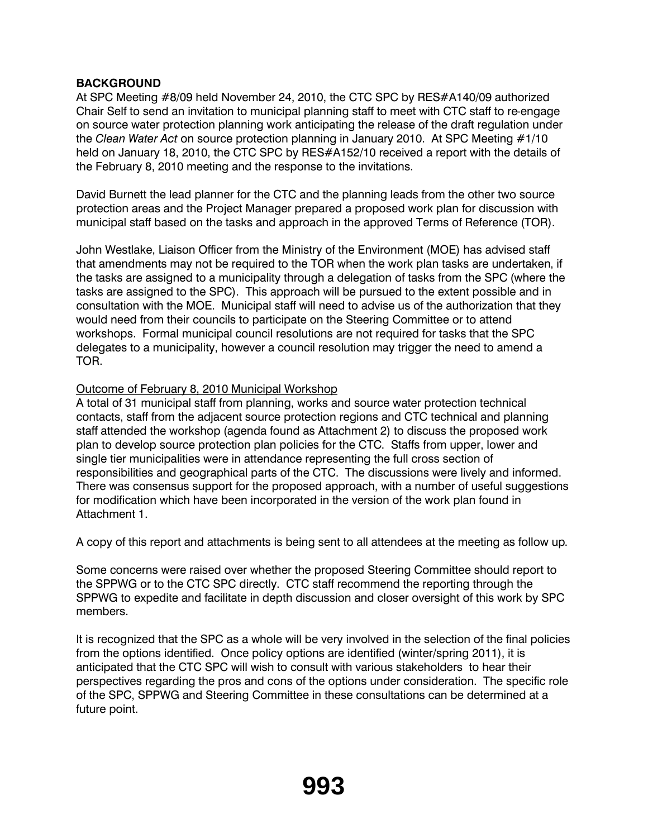## **BACKGROUND**

At SPC Meeting #8/09 held November 24, 2010, the CTC SPC by RES#A140/09 authorized Chair Self to send an invitation to municipal planning staff to meet with CTC staff to re-engage on source water protection planning work anticipating the release of the draft regulation under the *Clean Water Act* on source protection planning in January 2010. At SPC Meeting #1/10 held on January 18, 2010, the CTC SPC by RES#A152/10 received a report with the details of the February 8, 2010 meeting and the response to the invitations.

David Burnett the lead planner for the CTC and the planning leads from the other two source protection areas and the Project Manager prepared a proposed work plan for discussion with municipal staff based on the tasks and approach in the approved Terms of Reference (TOR).

John Westlake, Liaison Officer from the Ministry of the Environment (MOE) has advised staff that amendments may not be required to the TOR when the work plan tasks are undertaken, if the tasks are assigned to a municipality through a delegation of tasks from the SPC (where the tasks are assigned to the SPC). This approach will be pursued to the extent possible and in consultation with the MOE. Municipal staff will need to advise us of the authorization that they would need from their councils to participate on the Steering Committee or to attend workshops. Formal municipal council resolutions are not required for tasks that the SPC delegates to a municipality, however a council resolution may trigger the need to amend a TOR.

## Outcome of February 8, 2010 Municipal Workshop

A total of 31 municipal staff from planning, works and source water protection technical contacts, staff from the adjacent source protection regions and CTC technical and planning staff attended the workshop (agenda found as Attachment 2) to discuss the proposed work plan to develop source protection plan policies for the CTC. Staffs from upper, lower and single tier municipalities were in attendance representing the full cross section of responsibilities and geographical parts of the CTC. The discussions were lively and informed. There was consensus support for the proposed approach, with a number of useful suggestions for modification which have been incorporated in the version of the work plan found in Attachment 1.

A copy of this report and attachments is being sent to all attendees at the meeting as follow up.

Some concerns were raised over whether the proposed Steering Committee should report to the SPPWG or to the CTC SPC directly. CTC staff recommend the reporting through the SPPWG to expedite and facilitate in depth discussion and closer oversight of this work by SPC members.

It is recognized that the SPC as a whole will be very involved in the selection of the final policies from the options identified. Once policy options are identified (winter/spring 2011), it is anticipated that the CTC SPC will wish to consult with various stakeholders to hear their perspectives regarding the pros and cons of the options under consideration. The specific role of the SPC, SPPWG and Steering Committee in these consultations can be determined at a future point.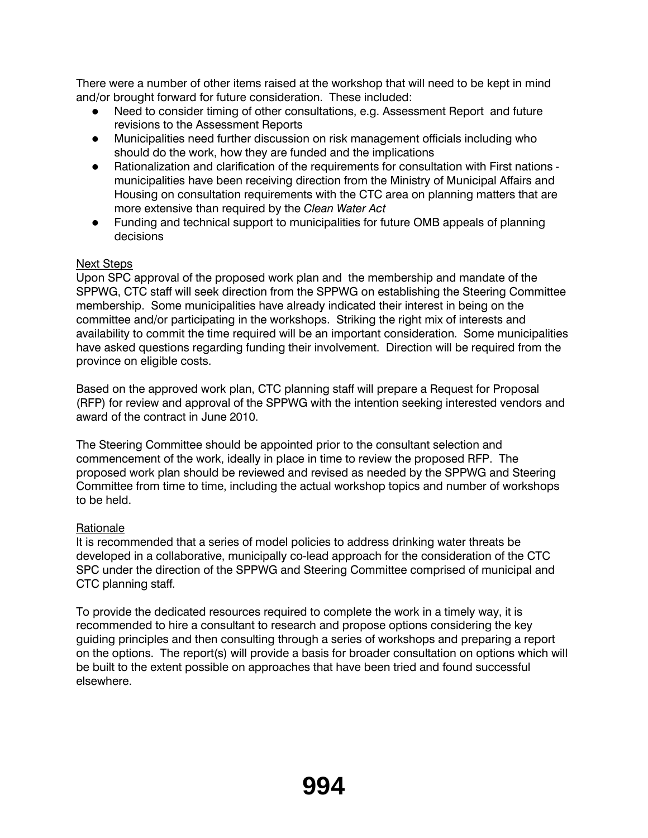There were a number of other items raised at the workshop that will need to be kept in mind and/or brought forward for future consideration. These included:

- Need to consider timing of other consultations, e.g. Assessment Report and future revisions to the Assessment Reports
- $\bullet$  Municipalities need further discussion on risk management officials including who should do the work, how they are funded and the implications
- Rationalization and clarification of the requirements for consultation with First nations municipalities have been receiving direction from the Ministry of Municipal Affairs and Housing on consultation requirements with the CTC area on planning matters that are more extensive than required by the *Clean Water Act*
- Funding and technical support to municipalities for future OMB appeals of planning decisions

## Next Steps

Upon SPC approval of the proposed work plan and the membership and mandate of the SPPWG, CTC staff will seek direction from the SPPWG on establishing the Steering Committee membership. Some municipalities have already indicated their interest in being on the committee and/or participating in the workshops. Striking the right mix of interests and availability to commit the time required will be an important consideration. Some municipalities have asked questions regarding funding their involvement. Direction will be required from the province on eligible costs.

Based on the approved work plan, CTC planning staff will prepare a Request for Proposal (RFP) for review and approval of the SPPWG with the intention seeking interested vendors and award of the contract in June 2010.

The Steering Committee should be appointed prior to the consultant selection and commencement of the work, ideally in place in time to review the proposed RFP. The proposed work plan should be reviewed and revised as needed by the SPPWG and Steering Committee from time to time, including the actual workshop topics and number of workshops to be held.

## Rationale

It is recommended that a series of model policies to address drinking water threats be developed in a collaborative, municipally co-lead approach for the consideration of the CTC SPC under the direction of the SPPWG and Steering Committee comprised of municipal and CTC planning staff.

To provide the dedicated resources required to complete the work in a timely way, it is recommended to hire a consultant to research and propose options considering the key guiding principles and then consulting through a series of workshops and preparing a report on the options. The report(s) will provide a basis for broader consultation on options which will be built to the extent possible on approaches that have been tried and found successful elsewhere.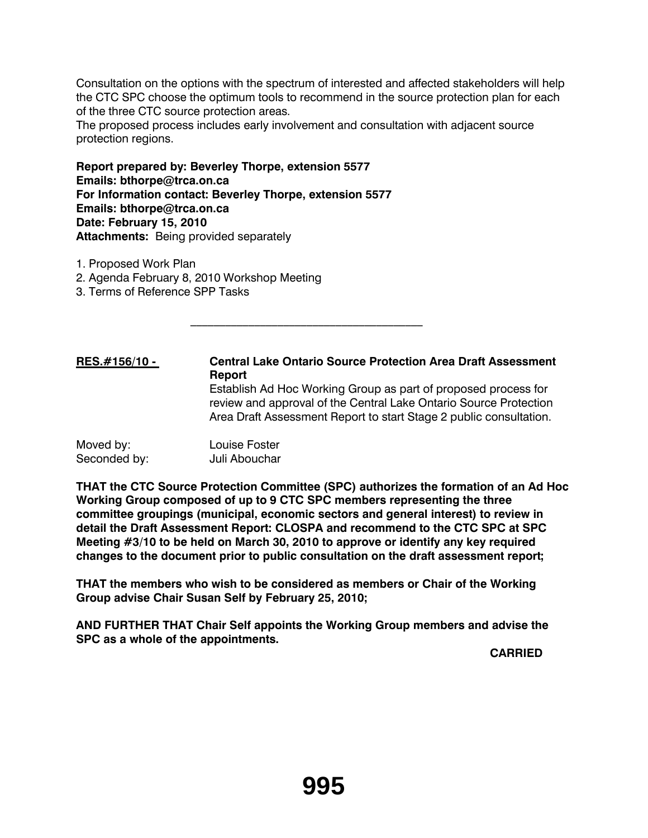Consultation on the options with the spectrum of interested and affected stakeholders will help the CTC SPC choose the optimum tools to recommend in the source protection plan for each of the three CTC source protection areas.

The proposed process includes early involvement and consultation with adjacent source protection regions.

**Report prepared by: Beverley Thorpe, extension 5577 Emails: bthorpe@trca.on.ca For Information contact: Beverley Thorpe, extension 5577 Emails: bthorpe@trca.on.ca Date: February 15, 2010 Attachments:** Being provided separately

 $\mathcal{L}_\text{max}$  and  $\mathcal{L}_\text{max}$  and  $\mathcal{L}_\text{max}$  and  $\mathcal{L}_\text{max}$ 

- 1. Proposed Work Plan
- 2. Agenda February 8, 2010 Workshop Meeting
- 3. Terms of Reference SPP Tasks

**RES.#156/10 - Central Lake Ontario Source Protection Area Draft Assessment Report** Establish Ad Hoc Working Group as part of proposed process for review and approval of the Central Lake Ontario Source Protection Area Draft Assessment Report to start Stage 2 public consultation.

| Moved by:    | Louise Foster |
|--------------|---------------|
| Seconded by: | Juli Abouchar |

**THAT the CTC Source Protection Committee (SPC) authorizes the formation of an Ad Hoc Working Group composed of up to 9 CTC SPC members representing the three committee groupings (municipal, economic sectors and general interest) to review in detail the Draft Assessment Report: CLOSPA and recommend to the CTC SPC at SPC Meeting #3/10 to be held on March 30, 2010 to approve or identify any key required changes to the document prior to public consultation on the draft assessment report;**

**THAT the members who wish to be considered as members or Chair of the Working Group advise Chair Susan Self by February 25, 2010;**

**AND FURTHER THAT Chair Self appoints the Working Group members and advise the SPC as a whole of the appointments.** 

**CARRIED**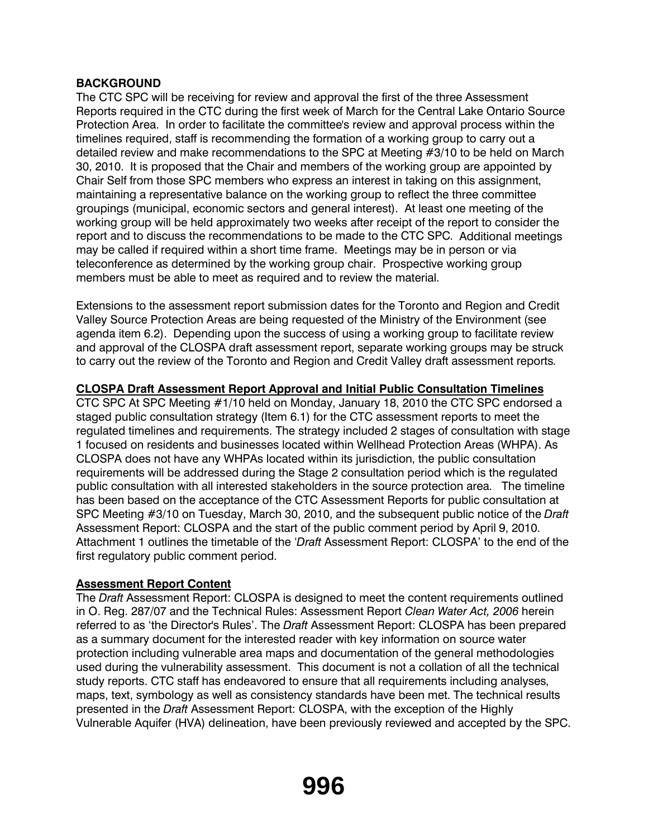## **BACKGROUND**

The CTC SPC will be receiving for review and approval the first of the three Assessment Reports required in the CTC during the first week of March for the Central Lake Ontario Source Protection Area. In order to facilitate the committee's review and approval process within the timelines required, staff is recommending the formation of a working group to carry out a detailed review and make recommendations to the SPC at Meeting #3/10 to be held on March 30, 2010. It is proposed that the Chair and members of the working group are appointed by Chair Self from those SPC members who express an interest in taking on this assignment, maintaining a representative balance on the working group to reflect the three committee groupings (municipal, economic sectors and general interest). At least one meeting of the working group will be held approximately two weeks after receipt of the report to consider the report and to discuss the recommendations to be made to the CTC SPC. Additional meetings may be called if required within a short time frame. Meetings may be in person or via teleconference as determined by the working group chair. Prospective working group members must be able to meet as required and to review the material.

Extensions to the assessment report submission dates for the Toronto and Region and Credit Valley Source Protection Areas are being requested of the Ministry of the Environment (see agenda item 6.2). Depending upon the success of using a working group to facilitate review and approval of the CLOSPA draft assessment report, separate working groups may be struck to carry out the review of the Toronto and Region and Credit Valley draft assessment reports.

## **CLOSPA Draft Assessment Report Approval and Initial Public Consultation Timelines**

CTC SPC At SPC Meeting #1/10 held on Monday, January 18, 2010 the CTC SPC endorsed a staged public consultation strategy (Item 6.1) for the CTC assessment reports to meet the regulated timelines and requirements. The strategy included 2 stages of consultation with stage 1 focused on residents and businesses located within Wellhead Protection Areas (WHPA). As CLOSPA does not have any WHPAs located within its jurisdiction, the public consultation requirements will be addressed during the Stage 2 consultation period which is the regulated public consultation with all interested stakeholders in the source protection area. The timeline has been based on the acceptance of the CTC Assessment Reports for public consultation at SPC Meeting #3/10 on Tuesday, March 30, 2010, and the subsequent public notice of the *Draft*  Assessment Report: CLOSPA and the start of the public comment period by April 9, 2010. Attachment 1 outlines the timetable of the '*Draft* Assessment Report: CLOSPA' to the end of the first regulatory public comment period.

## **Assessment Report Content**

The *Draft* Assessment Report: CLOSPA is designed to meet the content requirements outlined in O. Reg. 287/07 and the Technical Rules: Assessment Report *Clean Water Act, 2006* herein referred to as 'the Director's Rules'. The *Draft* Assessment Report: CLOSPA has been prepared as a summary document for the interested reader with key information on source water protection including vulnerable area maps and documentation of the general methodologies used during the vulnerability assessment. This document is not a collation of all the technical study reports. CTC staff has endeavored to ensure that all requirements including analyses, maps, text, symbology as well as consistency standards have been met. The technical results presented in the *Draft* Assessment Report: CLOSPA, with the exception of the Highly Vulnerable Aquifer (HVA) delineation, have been previously reviewed and accepted by the SPC.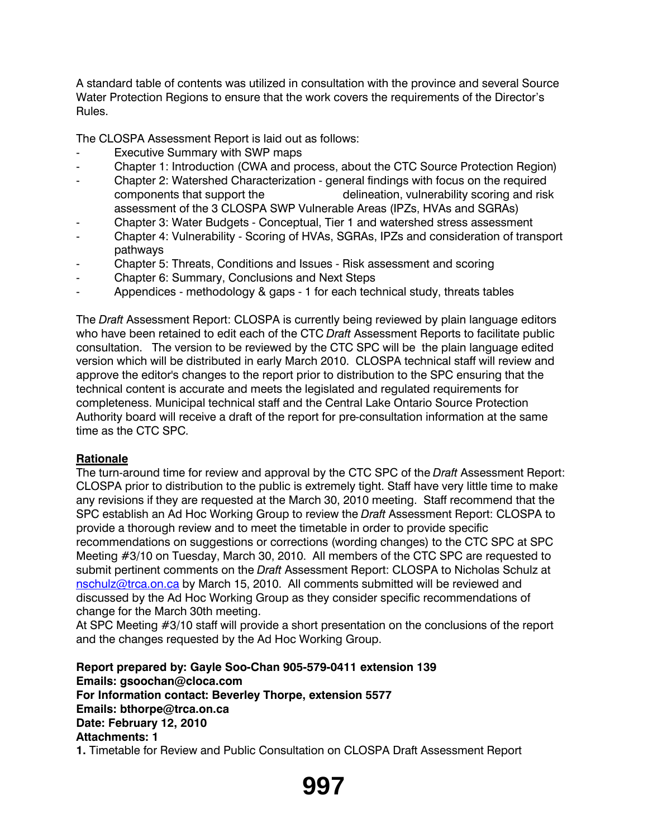A standard table of contents was utilized in consultation with the province and several Source Water Protection Regions to ensure that the work covers the requirements of the Director's Rules.

The CLOSPA Assessment Report is laid out as follows:

- **Executive Summary with SWP maps**
- Chapter 1: Introduction (CWA and process, about the CTC Source Protection Region)
- Chapter 2: Watershed Characterization general findings with focus on the required components that support the delineation, vulnerability scoring and risk assessment of the 3 CLOSPA SWP Vulnerable Areas (IPZs, HVAs and SGRAs)
- Chapter 3: Water Budgets Conceptual, Tier 1 and watershed stress assessment
- Chapter 4: Vulnerability Scoring of HVAs, SGRAs, IPZs and consideration of transport pathways
- Chapter 5: Threats, Conditions and Issues Risk assessment and scoring
- Chapter 6: Summary, Conclusions and Next Steps
- Appendices methodology & gaps 1 for each technical study, threats tables

The *Draft* Assessment Report: CLOSPA is currently being reviewed by plain language editors who have been retained to edit each of the CTC *Draft* Assessment Reports to facilitate public consultation. The version to be reviewed by the CTC SPC will be the plain language edited version which will be distributed in early March 2010. CLOSPA technical staff will review and approve the editor's changes to the report prior to distribution to the SPC ensuring that the technical content is accurate and meets the legislated and regulated requirements for completeness. Municipal technical staff and the Central Lake Ontario Source Protection Authority board will receive a draft of the report for pre-consultation information at the same time as the CTC SPC.

## **Rationale**

The turn-around time for review and approval by the CTC SPC of the *Draft* Assessment Report: CLOSPA prior to distribution to the public is extremely tight. Staff have very little time to make any revisions if they are requested at the March 30, 2010 meeting. Staff recommend that the SPC establish an Ad Hoc Working Group to review the *Draft* Assessment Report: CLOSPA to provide a thorough review and to meet the timetable in order to provide specific recommendations on suggestions or corrections (wording changes) to the CTC SPC at SPC Meeting #3/10 on Tuesday, March 30, 2010. All members of the CTC SPC are requested to submit pertinent comments on the *Draft* Assessment Report: CLOSPA to Nicholas Schulz at nschulz@trca.on.ca by March 15, 2010. All comments submitted will be reviewed and discussed by the Ad Hoc Working Group as they consider specific recommendations of change for the March 30th meeting.

At SPC Meeting #3/10 staff will provide a short presentation on the conclusions of the report and the changes requested by the Ad Hoc Working Group.

**Report prepared by: Gayle Soo-Chan 905-579-0411 extension 139 Emails: gsoochan@cloca.com For Information contact: Beverley Thorpe, extension 5577 Emails: bthorpe@trca.on.ca Date: February 12, 2010 Attachments: 1 1.** Timetable for Review and Public Consultation on CLOSPA Draft Assessment Report

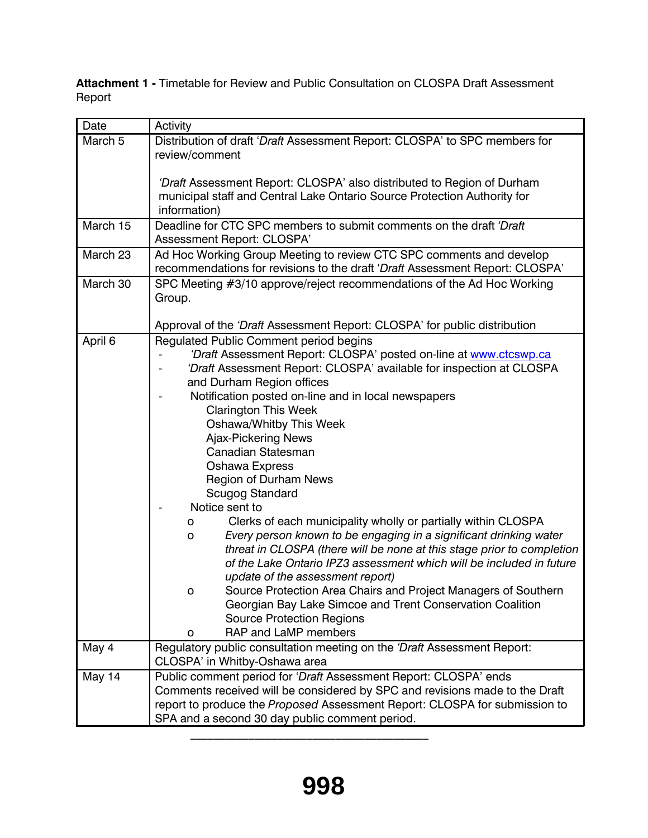**Attachment 1 -** Timetable for Review and Public Consultation on CLOSPA Draft Assessment Report

| Date               | Activity                                                                     |
|--------------------|------------------------------------------------------------------------------|
| March <sub>5</sub> | Distribution of draft 'Draft Assessment Report: CLOSPA' to SPC members for   |
|                    | review/comment                                                               |
|                    |                                                                              |
|                    | 'Draft Assessment Report: CLOSPA' also distributed to Region of Durham       |
|                    | municipal staff and Central Lake Ontario Source Protection Authority for     |
|                    | information)                                                                 |
| March 15           | Deadline for CTC SPC members to submit comments on the draft 'Draft'         |
|                    | Assessment Report: CLOSPA'                                                   |
| March 23           | Ad Hoc Working Group Meeting to review CTC SPC comments and develop          |
|                    | recommendations for revisions to the draft 'Draft Assessment Report: CLOSPA' |
| March 30           | SPC Meeting #3/10 approve/reject recommendations of the Ad Hoc Working       |
|                    | Group.                                                                       |
|                    |                                                                              |
|                    | Approval of the 'Draft Assessment Report: CLOSPA' for public distribution    |
| April 6            | Regulated Public Comment period begins                                       |
|                    | 'Draft Assessment Report: CLOSPA' posted on-line at www.ctcswp.ca            |
|                    | 'Draft Assessment Report: CLOSPA' available for inspection at CLOSPA         |
|                    | and Durham Region offices                                                    |
|                    | Notification posted on-line and in local newspapers                          |
|                    | <b>Clarington This Week</b>                                                  |
|                    | Oshawa/Whitby This Week                                                      |
|                    | Ajax-Pickering News<br>Canadian Statesman                                    |
|                    | <b>Oshawa Express</b>                                                        |
|                    | <b>Region of Durham News</b>                                                 |
|                    | Scugog Standard                                                              |
|                    | Notice sent to                                                               |
|                    | Clerks of each municipality wholly or partially within CLOSPA<br>о           |
|                    | Every person known to be engaging in a significant drinking water<br>o       |
|                    | threat in CLOSPA (there will be none at this stage prior to completion       |
|                    | of the Lake Ontario IPZ3 assessment which will be included in future         |
|                    | update of the assessment report)                                             |
|                    | Source Protection Area Chairs and Project Managers of Southern               |
|                    | Georgian Bay Lake Simcoe and Trent Conservation Coalition                    |
|                    | <b>Source Protection Regions</b>                                             |
|                    | RAP and LaMP members<br>o                                                    |
| May 4              | Regulatory public consultation meeting on the 'Draft Assessment Report:      |
|                    | CLOSPA' in Whitby-Oshawa area                                                |
| May 14             | Public comment period for 'Draft Assessment Report: CLOSPA' ends             |
|                    | Comments received will be considered by SPC and revisions made to the Draft  |
|                    | report to produce the Proposed Assessment Report: CLOSPA for submission to   |
|                    | SPA and a second 30 day public comment period.                               |

 $\mathcal{L}_\text{max}$  and  $\mathcal{L}_\text{max}$  and  $\mathcal{L}_\text{max}$  and  $\mathcal{L}_\text{max}$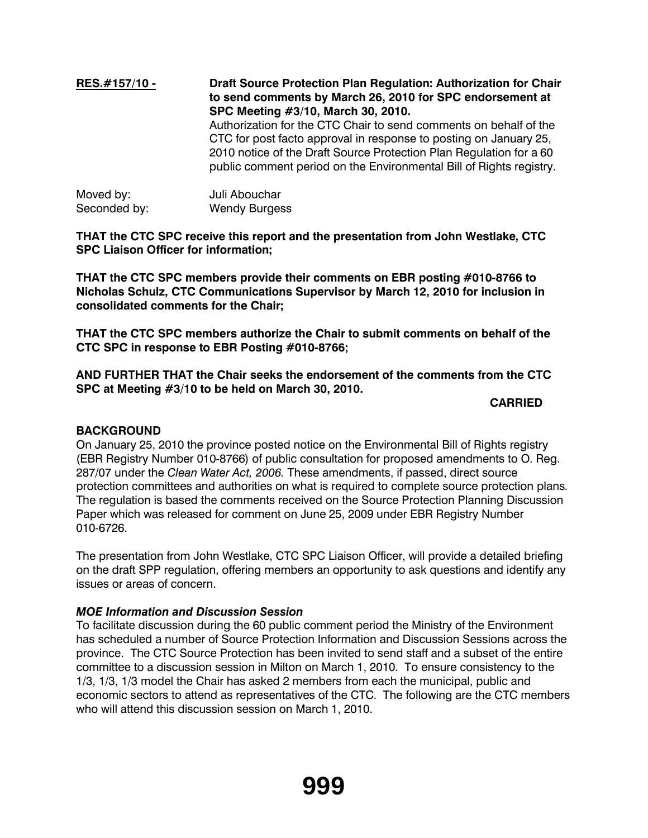## **RES.#157/10 - Draft Source Protection Plan Regulation: Authorization for Chair to send comments by March 26, 2010 for SPC endorsement at SPC Meeting #3/10, March 30, 2010.** Authorization for the CTC Chair to send comments on behalf of the CTC for post facto approval in response to posting on January 25, 2010 notice of the Draft Source Protection Plan Regulation for a 60 public comment period on the Environmental Bill of Rights registry. Moved by: Juli Abouchar

| iviovcu py.  | <u>UUII ADUUUIIUI</u> |
|--------------|-----------------------|
| Seconded by: | <b>Wendy Burgess</b>  |

**THAT the CTC SPC receive this report and the presentation from John Westlake, CTC SPC Liaison Officer for information;**

**THAT the CTC SPC members provide their comments on EBR posting #010-8766 to Nicholas Schulz, CTC Communications Supervisor by March 12, 2010 for inclusion in consolidated comments for the Chair;**

**THAT the CTC SPC members authorize the Chair to submit comments on behalf of the CTC SPC in response to EBR Posting #010-8766;**

**AND FURTHER THAT the Chair seeks the endorsement of the comments from the CTC SPC at Meeting #3/10 to be held on March 30, 2010.** 

## **CARRIED**

## **BACKGROUND**

On January 25, 2010 the province posted notice on the Environmental Bill of Rights registry (EBR Registry Number 010-8766) of public consultation for proposed amendments to O. Reg. 287/07 under the *Clean Water Act, 2006.* These amendments, if passed, direct source protection committees and authorities on what is required to complete source protection plans. The regulation is based the comments received on the Source Protection Planning Discussion Paper which was released for comment on June 25, 2009 under EBR Registry Number 010-6726.

The presentation from John Westlake, CTC SPC Liaison Officer, will provide a detailed briefing on the draft SPP regulation, offering members an opportunity to ask questions and identify any issues or areas of concern.

#### *MOE Information and Discussion Session*

To facilitate discussion during the 60 public comment period the Ministry of the Environment has scheduled a number of Source Protection Information and Discussion Sessions across the province. The CTC Source Protection has been invited to send staff and a subset of the entire committee to a discussion session in Milton on March 1, 2010. To ensure consistency to the 1/3, 1/3, 1/3 model the Chair has asked 2 members from each the municipal, public and economic sectors to attend as representatives of the CTC. The following are the CTC members who will attend this discussion session on March 1, 2010.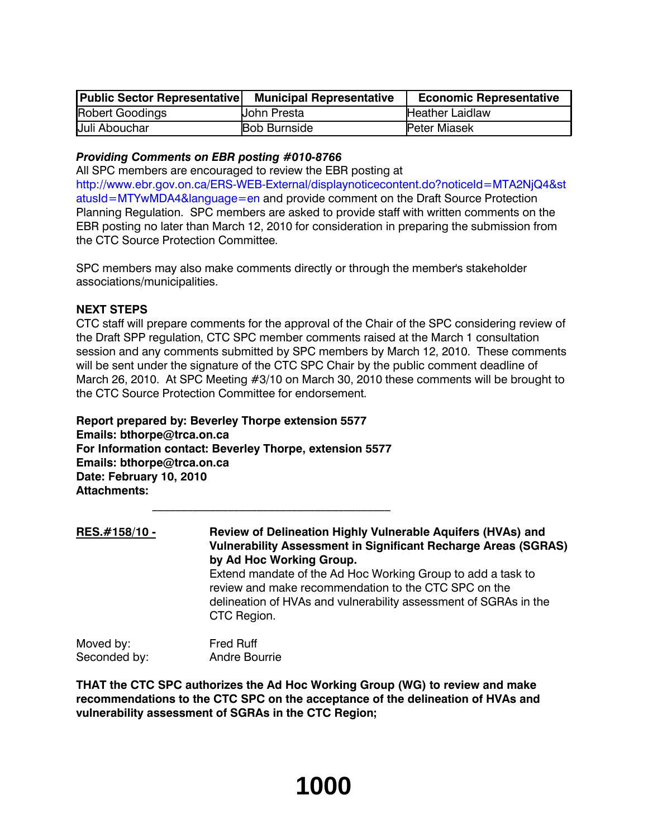| Public Sector Representative | <b>Municipal Representative</b> | <b>Economic Representative</b> |
|------------------------------|---------------------------------|--------------------------------|
| Robert Goodings              | Uohn Presta                     | <b>Heather Laidlaw</b>         |
| Juli Abouchar                | <b>Bob Burnside</b>             | <b>Peter Miasek</b>            |

#### *Providing Comments on EBR posting #010-8766*

All SPC members are encouraged to review the EBR posting at http://www.ebr.gov.on.ca/ERS-WEB-External/displaynoticecontent.do?noticeId=MTA2NjQ4&st atusId=MTYwMDA4&language=en and provide comment on the Draft Source Protection Planning Regulation. SPC members are asked to provide staff with written comments on the EBR posting no later than March 12, 2010 for consideration in preparing the submission from the CTC Source Protection Committee.

SPC members may also make comments directly or through the member's stakeholder associations/municipalities.

#### **NEXT STEPS**

CTC staff will prepare comments for the approval of the Chair of the SPC considering review of the Draft SPP regulation, CTC SPC member comments raised at the March 1 consultation session and any comments submitted by SPC members by March 12, 2010. These comments will be sent under the signature of the CTC SPC Chair by the public comment deadline of March 26, 2010. At SPC Meeting #3/10 on March 30, 2010 these comments will be brought to the CTC Source Protection Committee for endorsement.

**Report prepared by: Beverley Thorpe extension 5577 Emails: bthorpe@trca.on.ca For Information contact: Beverley Thorpe, extension 5577 Emails: bthorpe@trca.on.ca Date: February 10, 2010 Attachments:** 

 $\mathcal{L}_\text{max}$ 

**RES.#158/10 - Review of Delineation Highly Vulnerable Aquifers (HVAs) and Vulnerability Assessment in Significant Recharge Areas (SGRAS) by Ad Hoc Working Group.**  Extend mandate of the Ad Hoc Working Group to add a task to review and make recommendation to the CTC SPC on the delineation of HVAs and vulnerability assessment of SGRAs in the CTC Region.

Moved by: Fred Ruff Seconded by: Andre Bourrie

**THAT the CTC SPC authorizes the Ad Hoc Working Group (WG) to review and make recommendations to the CTC SPC on the acceptance of the delineation of HVAs and vulnerability assessment of SGRAs in the CTC Region;**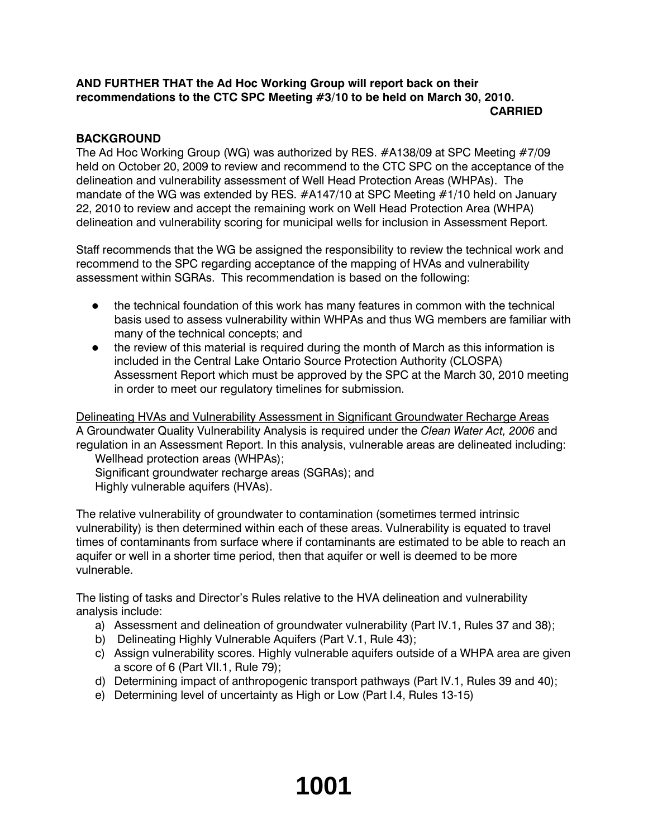#### **AND FURTHER THAT the Ad Hoc Working Group will report back on their recommendations to the CTC SPC Meeting #3/10 to be held on March 30, 2010. CARRIED**

## **BACKGROUND**

The Ad Hoc Working Group (WG) was authorized by RES. #A138/09 at SPC Meeting #7/09 held on October 20, 2009 to review and recommend to the CTC SPC on the acceptance of the delineation and vulnerability assessment of Well Head Protection Areas (WHPAs). The mandate of the WG was extended by RES. #A147/10 at SPC Meeting #1/10 held on January 22, 2010 to review and accept the remaining work on Well Head Protection Area (WHPA) delineation and vulnerability scoring for municipal wells for inclusion in Assessment Report.

Staff recommends that the WG be assigned the responsibility to review the technical work and recommend to the SPC regarding acceptance of the mapping of HVAs and vulnerability assessment within SGRAs. This recommendation is based on the following:

- the technical foundation of this work has many features in common with the technical basis used to assess vulnerability within WHPAs and thus WG members are familiar with many of the technical concepts; and
- the review of this material is required during the month of March as this information is included in the Central Lake Ontario Source Protection Authority (CLOSPA) Assessment Report which must be approved by the SPC at the March 30, 2010 meeting in order to meet our regulatory timelines for submission.

Delineating HVAs and Vulnerability Assessment in Significant Groundwater Recharge Areas A Groundwater Quality Vulnerability Analysis is required under the *Clean Water Act, 2006* and regulation in an Assessment Report. In this analysis, vulnerable areas are delineated including: Wellhead protection areas (WHPAs);

Significant groundwater recharge areas (SGRAs); and Highly vulnerable aquifers (HVAs).

The relative vulnerability of groundwater to contamination (sometimes termed intrinsic vulnerability) is then determined within each of these areas. Vulnerability is equated to travel times of contaminants from surface where if contaminants are estimated to be able to reach an aquifer or well in a shorter time period, then that aquifer or well is deemed to be more vulnerable.

The listing of tasks and Director's Rules relative to the HVA delineation and vulnerability analysis include:

- a) Assessment and delineation of groundwater vulnerability (Part IV.1, Rules 37 and 38);
- b) Delineating Highly Vulnerable Aquifers (Part V.1, Rule 43);
- c) Assign vulnerability scores. Highly vulnerable aquifers outside of a WHPA area are given a score of 6 (Part VII.1, Rule 79);
- d) Determining impact of anthropogenic transport pathways (Part IV.1, Rules 39 and 40);
- e) Determining level of uncertainty as High or Low (Part I.4, Rules 13-15)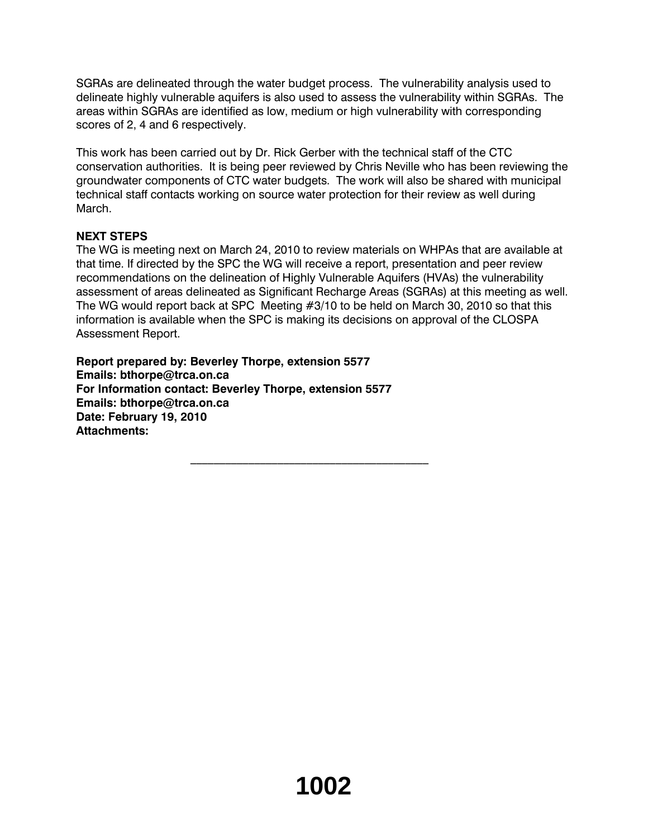SGRAs are delineated through the water budget process. The vulnerability analysis used to delineate highly vulnerable aquifers is also used to assess the vulnerability within SGRAs. The areas within SGRAs are identified as low, medium or high vulnerability with corresponding scores of 2, 4 and 6 respectively.

This work has been carried out by Dr. Rick Gerber with the technical staff of the CTC conservation authorities. It is being peer reviewed by Chris Neville who has been reviewing the groundwater components of CTC water budgets. The work will also be shared with municipal technical staff contacts working on source water protection for their review as well during March.

## **NEXT STEPS**

The WG is meeting next on March 24, 2010 to review materials on WHPAs that are available at that time. If directed by the SPC the WG will receive a report, presentation and peer review recommendations on the delineation of Highly Vulnerable Aquifers (HVAs) the vulnerability assessment of areas delineated as Significant Recharge Areas (SGRAs) at this meeting as well. The WG would report back at SPC Meeting #3/10 to be held on March 30, 2010 so that this information is available when the SPC is making its decisions on approval of the CLOSPA Assessment Report.

 $\overline{\phantom{a}}$  , and the set of the set of the set of the set of the set of the set of the set of the set of the set of the set of the set of the set of the set of the set of the set of the set of the set of the set of the s

**Report prepared by: Beverley Thorpe, extension 5577 Emails: bthorpe@trca.on.ca For Information contact: Beverley Thorpe, extension 5577 Emails: bthorpe@trca.on.ca Date: February 19, 2010 Attachments:**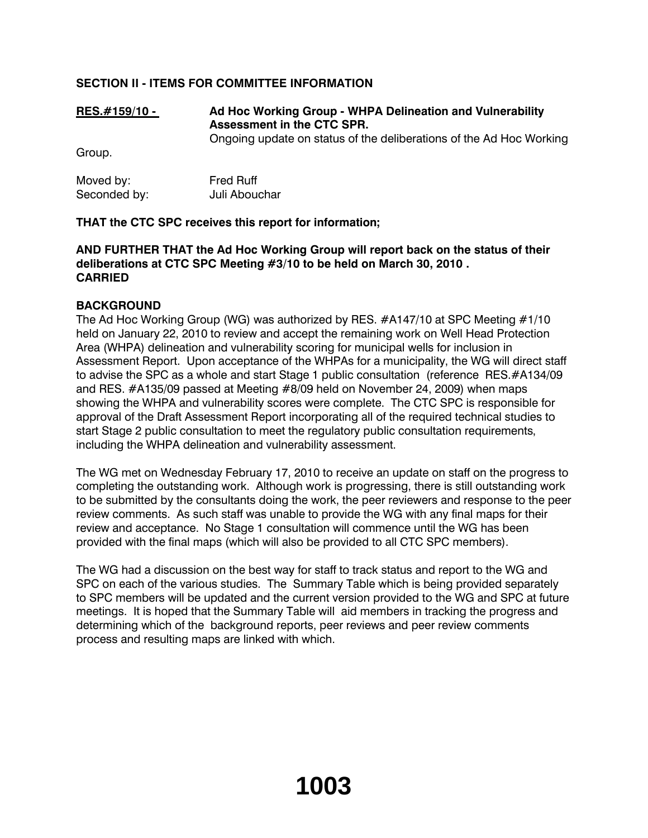## **SECTION II - ITEMS FOR COMMITTEE INFORMATION**

## **RES.#159/10 - Ad Hoc Working Group - WHPA Delineation and Vulnerability Assessment in the CTC SPR.**

Ongoing update on status of the deliberations of the Ad Hoc Working

Group.

| Moved by:    | <b>Fred Ruff</b> |  |
|--------------|------------------|--|
| Seconded by: | Juli Abouchar    |  |

## **THAT the CTC SPC receives this report for information;**

## **AND FURTHER THAT the Ad Hoc Working Group will report back on the status of their deliberations at CTC SPC Meeting #3/10 to be held on March 30, 2010 . CARRIED**

## **BACKGROUND**

The Ad Hoc Working Group (WG) was authorized by RES. #A147/10 at SPC Meeting #1/10 held on January 22, 2010 to review and accept the remaining work on Well Head Protection Area (WHPA) delineation and vulnerability scoring for municipal wells for inclusion in Assessment Report. Upon acceptance of the WHPAs for a municipality, the WG will direct staff to advise the SPC as a whole and start Stage 1 public consultation (reference RES.#A134/09 and RES. #A135/09 passed at Meeting #8/09 held on November 24, 2009) when maps showing the WHPA and vulnerability scores were complete. The CTC SPC is responsible for approval of the Draft Assessment Report incorporating all of the required technical studies to start Stage 2 public consultation to meet the regulatory public consultation requirements, including the WHPA delineation and vulnerability assessment.

The WG met on Wednesday February 17, 2010 to receive an update on staff on the progress to completing the outstanding work. Although work is progressing, there is still outstanding work to be submitted by the consultants doing the work, the peer reviewers and response to the peer review comments. As such staff was unable to provide the WG with any final maps for their review and acceptance. No Stage 1 consultation will commence until the WG has been provided with the final maps (which will also be provided to all CTC SPC members).

The WG had a discussion on the best way for staff to track status and report to the WG and SPC on each of the various studies. The Summary Table which is being provided separately to SPC members will be updated and the current version provided to the WG and SPC at future meetings. It is hoped that the Summary Table will aid members in tracking the progress and determining which of the background reports, peer reviews and peer review comments process and resulting maps are linked with which.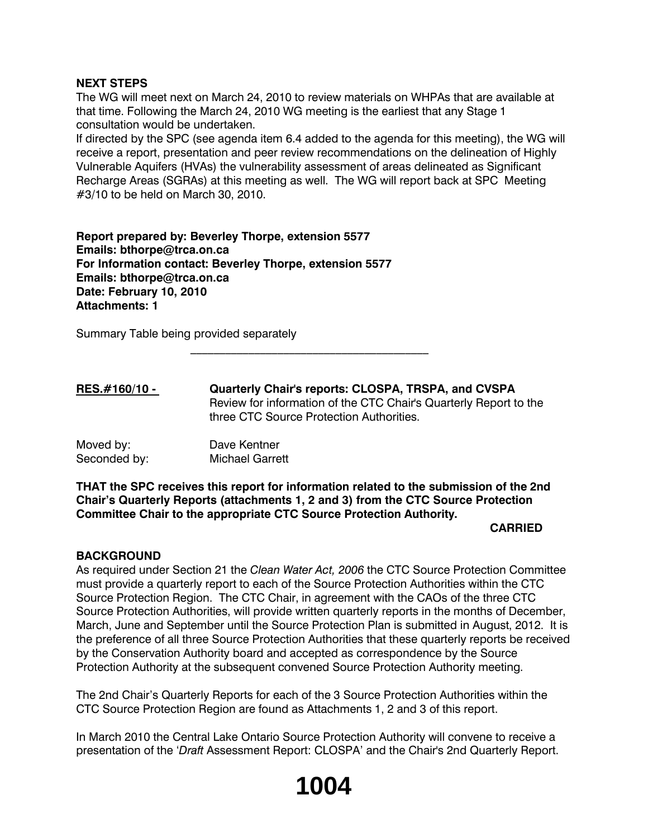#### **NEXT STEPS**

The WG will meet next on March 24, 2010 to review materials on WHPAs that are available at that time. Following the March 24, 2010 WG meeting is the earliest that any Stage 1 consultation would be undertaken.

If directed by the SPC (see agenda item 6.4 added to the agenda for this meeting), the WG will receive a report, presentation and peer review recommendations on the delineation of Highly Vulnerable Aquifers (HVAs) the vulnerability assessment of areas delineated as Significant Recharge Areas (SGRAs) at this meeting as well. The WG will report back at SPC Meeting #3/10 to be held on March 30, 2010.

**Report prepared by: Beverley Thorpe, extension 5577 Emails: bthorpe@trca.on.ca For Information contact: Beverley Thorpe, extension 5577 Emails: bthorpe@trca.on.ca Date: February 10, 2010 Attachments: 1**

Summary Table being provided separately

**RES.#160/10 - Quarterly Chair's reports: CLOSPA, TRSPA, and CVSPA** Review for information of the CTC Chair's Quarterly Report to the three CTC Source Protection Authorities.

 $\mathcal{L}_\text{max}$ 

| Moved by:    | Dave Kentner           |
|--------------|------------------------|
| Seconded by: | <b>Michael Garrett</b> |

**THAT the SPC receives this report for information related to the submission of the 2nd Chair's Quarterly Reports (attachments 1, 2 and 3) from the CTC Source Protection Committee Chair to the appropriate CTC Source Protection Authority.**

#### **CARRIED**

#### **BACKGROUND**

As required under Section 21 the *Clean Water Act, 2006* the CTC Source Protection Committee must provide a quarterly report to each of the Source Protection Authorities within the CTC Source Protection Region. The CTC Chair, in agreement with the CAOs of the three CTC Source Protection Authorities, will provide written quarterly reports in the months of December, March, June and September until the Source Protection Plan is submitted in August, 2012. It is the preference of all three Source Protection Authorities that these quarterly reports be received by the Conservation Authority board and accepted as correspondence by the Source Protection Authority at the subsequent convened Source Protection Authority meeting.

The 2nd Chair's Quarterly Reports for each of the 3 Source Protection Authorities within the CTC Source Protection Region are found as Attachments 1, 2 and 3 of this report.

In March 2010 the Central Lake Ontario Source Protection Authority will convene to receive a presentation of the '*Draft* Assessment Report: CLOSPA' and the Chair's 2nd Quarterly Report.

# **1004**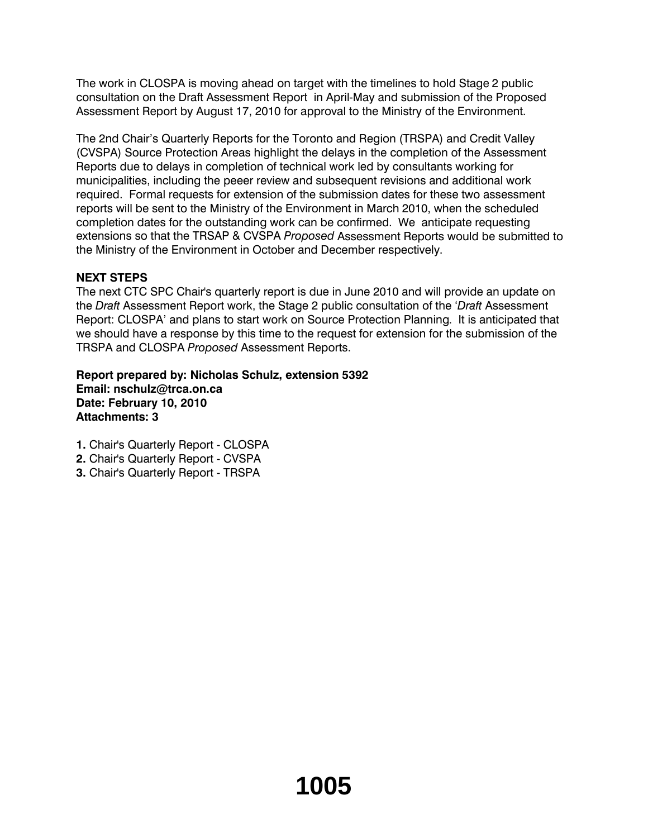The work in CLOSPA is moving ahead on target with the timelines to hold Stage 2 public consultation on the Draft Assessment Report in April-May and submission of the Proposed Assessment Report by August 17, 2010 for approval to the Ministry of the Environment.

The 2nd Chair's Quarterly Reports for the Toronto and Region (TRSPA) and Credit Valley (CVSPA) Source Protection Areas highlight the delays in the completion of the Assessment Reports due to delays in completion of technical work led by consultants working for municipalities, including the peeer review and subsequent revisions and additional work required. Formal requests for extension of the submission dates for these two assessment reports will be sent to the Ministry of the Environment in March 2010, when the scheduled completion dates for the outstanding work can be confirmed. We anticipate requesting extensions so that the TRSAP & CVSPA *Proposed* Assessment Reports would be submitted to the Ministry of the Environment in October and December respectively.

## **NEXT STEPS**

The next CTC SPC Chair's quarterly report is due in June 2010 and will provide an update on the *Draft* Assessment Report work, the Stage 2 public consultation of the '*Draft* Assessment Report: CLOSPA' and plans to start work on Source Protection Planning. It is anticipated that we should have a response by this time to the request for extension for the submission of the TRSPA and CLOSPA *Proposed* Assessment Reports.

**Report prepared by: Nicholas Schulz, extension 5392 Email: nschulz@trca.on.ca Date: February 10, 2010 Attachments: 3**

- **1.** Chair's Quarterly Report CLOSPA
- **2.** Chair's Quarterly Report CVSPA
- **3.** Chair's Quarterly Report TRSPA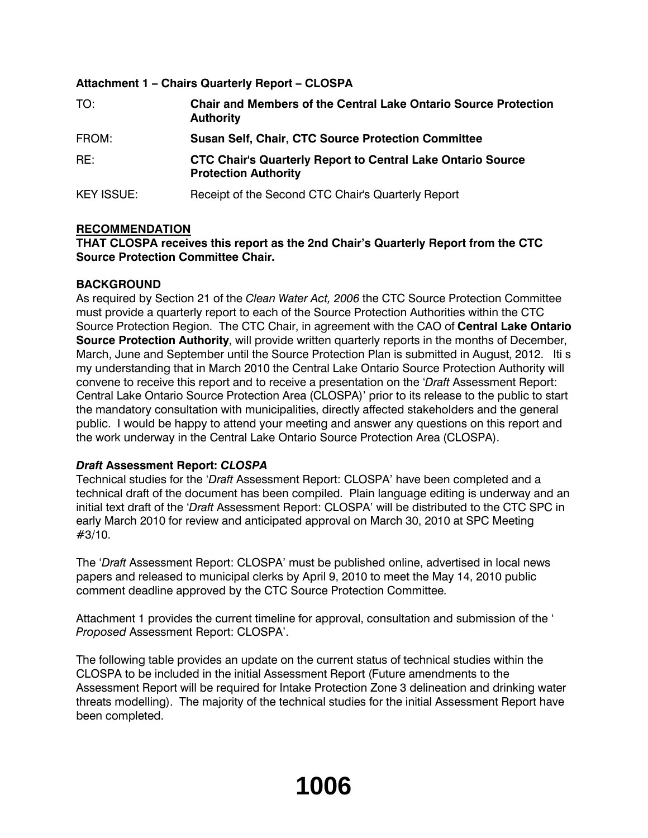## **Attachment 1 – Chairs Quarterly Report – CLOSPA**

| TO:               | <b>Chair and Members of the Central Lake Ontario Source Protection</b><br><b>Authority</b>        |
|-------------------|---------------------------------------------------------------------------------------------------|
| FROM:             | <b>Susan Self, Chair, CTC Source Protection Committee</b>                                         |
| RE:               | <b>CTC Chair's Quarterly Report to Central Lake Ontario Source</b><br><b>Protection Authority</b> |
| <b>KEY ISSUE:</b> | Receipt of the Second CTC Chair's Quarterly Report                                                |

## **RECOMMENDATION**

## **THAT CLOSPA receives this report as the 2nd Chair's Quarterly Report from the CTC Source Protection Committee Chair.**

## **BACKGROUND**

As required by Section 21 of the *Clean Water Act, 2006* the CTC Source Protection Committee must provide a quarterly report to each of the Source Protection Authorities within the CTC Source Protection Region. The CTC Chair, in agreement with the CAO of **Central Lake Ontario Source Protection Authority**, will provide written quarterly reports in the months of December, March, June and September until the Source Protection Plan is submitted in August, 2012. Iti s my understanding that in March 2010 the Central Lake Ontario Source Protection Authority will convene to receive this report and to receive a presentation on the '*Draft* Assessment Report: Central Lake Ontario Source Protection Area (CLOSPA)' prior to its release to the public to start the mandatory consultation with municipalities, directly affected stakeholders and the general public. I would be happy to attend your meeting and answer any questions on this report and the work underway in the Central Lake Ontario Source Protection Area (CLOSPA).

## *Draft* **Assessment Report:** *CLOSPA*

Technical studies for the '*Draft* Assessment Report: CLOSPA' have been completed and a technical draft of the document has been compiled. Plain language editing is underway and an initial text draft of the '*Draft* Assessment Report: CLOSPA' will be distributed to the CTC SPC in early March 2010 for review and anticipated approval on March 30, 2010 at SPC Meeting #3/10.

The '*Draft* Assessment Report: CLOSPA' must be published online, advertised in local news papers and released to municipal clerks by April 9, 2010 to meet the May 14, 2010 public comment deadline approved by the CTC Source Protection Committee.

Attachment 1 provides the current timeline for approval, consultation and submission of the ' *Proposed* Assessment Report: CLOSPA'.

The following table provides an update on the current status of technical studies within the CLOSPA to be included in the initial Assessment Report (Future amendments to the Assessment Report will be required for Intake Protection Zone 3 delineation and drinking water threats modelling). The majority of the technical studies for the initial Assessment Report have been completed.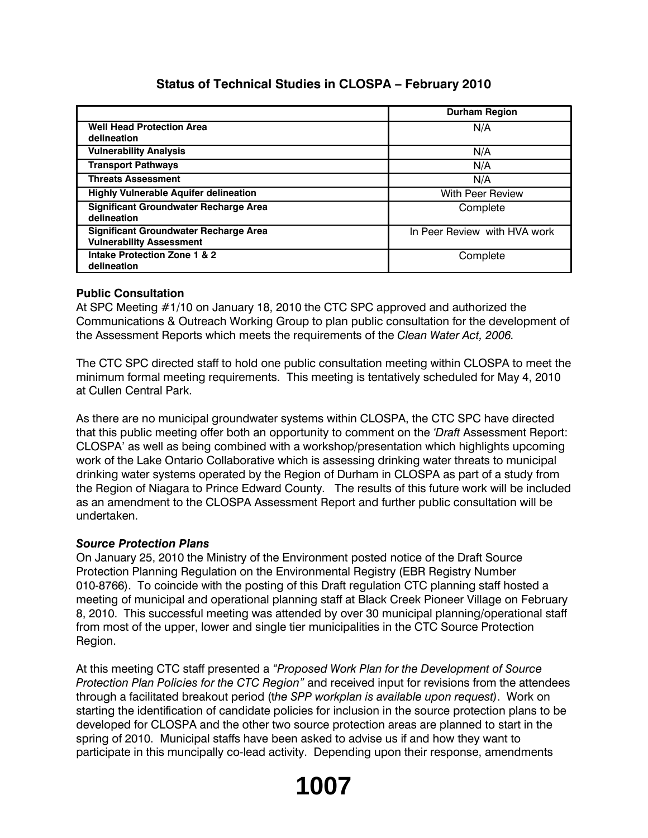## **Status of Technical Studies in CLOSPA – February 2010**

|                                                                                 | <b>Durham Region</b>         |
|---------------------------------------------------------------------------------|------------------------------|
| <b>Well Head Protection Area</b><br>delineation                                 | N/A                          |
| <b>Vulnerability Analysis</b>                                                   | N/A                          |
| <b>Transport Pathways</b>                                                       | N/A                          |
| <b>Threats Assessment</b>                                                       | N/A                          |
| <b>Highly Vulnerable Aquifer delineation</b>                                    | <b>With Peer Review</b>      |
| <b>Significant Groundwater Recharge Area</b><br>delineation                     | Complete                     |
| <b>Significant Groundwater Recharge Area</b><br><b>Vulnerability Assessment</b> | In Peer Review with HVA work |
| Intake Protection Zone 1 & 2<br>delineation                                     | Complete                     |

## **Public Consultation**

At SPC Meeting #1/10 on January 18, 2010 the CTC SPC approved and authorized the Communications & Outreach Working Group to plan public consultation for the development of the Assessment Reports which meets the requirements of the *Clean Water Act, 2006.*

The CTC SPC directed staff to hold one public consultation meeting within CLOSPA to meet the minimum formal meeting requirements. This meeting is tentatively scheduled for May 4, 2010 at Cullen Central Park.

As there are no municipal groundwater systems within CLOSPA, the CTC SPC have directed that this public meeting offer both an opportunity to comment on the *'Draft* Assessment Report: CLOSPA' as well as being combined with a workshop/presentation which highlights upcoming work of the Lake Ontario Collaborative which is assessing drinking water threats to municipal drinking water systems operated by the Region of Durham in CLOSPA as part of a study from the Region of Niagara to Prince Edward County. The results of this future work will be included as an amendment to the CLOSPA Assessment Report and further public consultation will be undertaken.

## *Source Protection Plans*

On January 25, 2010 the Ministry of the Environment posted notice of the Draft Source Protection Planning Regulation on the Environmental Registry (EBR Registry Number 010-8766). To coincide with the posting of this Draft regulation CTC planning staff hosted a meeting of municipal and operational planning staff at Black Creek Pioneer Village on February 8, 2010. This successful meeting was attended by over 30 municipal planning/operational staff from most of the upper, lower and single tier municipalities in the CTC Source Protection Region.

At this meeting CTC staff presented a *"Proposed Work Plan for the Development of Source Protection Plan Policies for the CTC Region"* and received input for revisions from the attendees through a facilitated breakout period (t*he SPP workplan is available upon request)*. Work on starting the identification of candidate policies for inclusion in the source protection plans to be developed for CLOSPA and the other two source protection areas are planned to start in the spring of 2010. Municipal staffs have been asked to advise us if and how they want to participate in this muncipally co-lead activity. Depending upon their response, amendments

# **1007**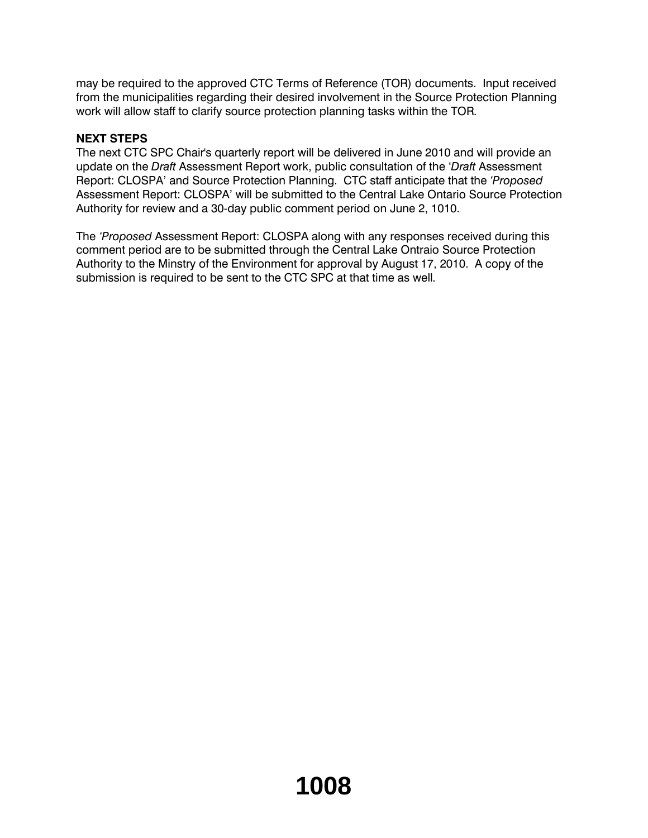may be required to the approved CTC Terms of Reference (TOR) documents. Input received from the municipalities regarding their desired involvement in the Source Protection Planning work will allow staff to clarify source protection planning tasks within the TOR.

## **NEXT STEPS**

The next CTC SPC Chair's quarterly report will be delivered in June 2010 and will provide an update on the *Draft* Assessment Report work, public consultation of the '*Draft* Assessment Report: CLOSPA' and Source Protection Planning. CTC staff anticipate that the *'Proposed* Assessment Report: CLOSPA' will be submitted to the Central Lake Ontario Source Protection Authority for review and a 30-day public comment period on June 2, 1010.

The *'Proposed* Assessment Report: CLOSPA along with any responses received during this comment period are to be submitted through the Central Lake Ontraio Source Protection Authority to the Minstry of the Environment for approval by August 17, 2010. A copy of the submission is required to be sent to the CTC SPC at that time as well.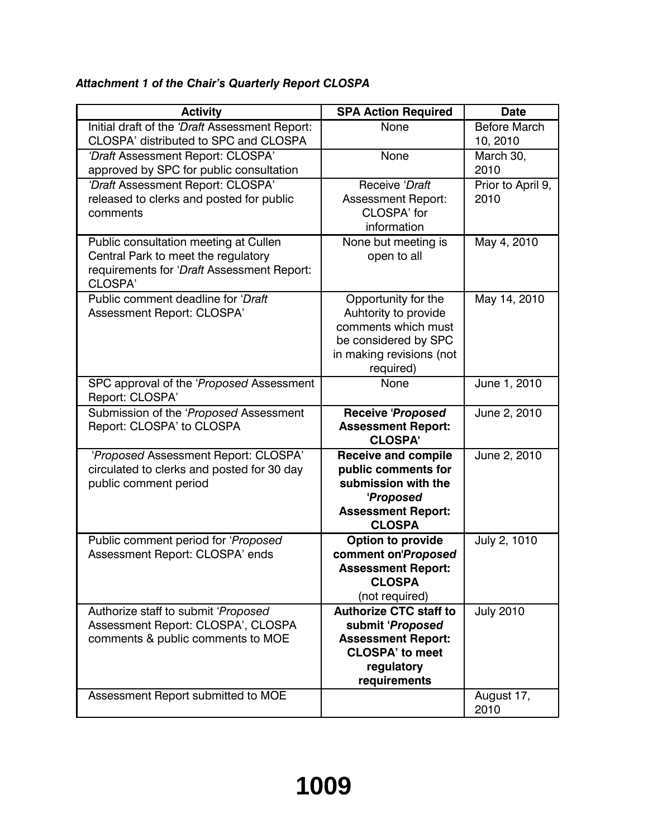## *Attachment 1 of the Chair's Quarterly Report CLOSPA*

| <b>Activity</b>                                                                                                                       | <b>SPA Action Required</b>                                                                                                             | <b>Date</b>                     |
|---------------------------------------------------------------------------------------------------------------------------------------|----------------------------------------------------------------------------------------------------------------------------------------|---------------------------------|
| Initial draft of the 'Draft Assessment Report:<br>CLOSPA' distributed to SPC and CLOSPA                                               | None                                                                                                                                   | <b>Before March</b><br>10, 2010 |
| 'Draft Assessment Report: CLOSPA'<br>approved by SPC for public consultation                                                          | None                                                                                                                                   | March 30,<br>2010               |
| 'Draft Assessment Report: CLOSPA'<br>released to clerks and posted for public<br>comments                                             | Receive 'Draft<br><b>Assessment Report:</b><br>CLOSPA' for<br>information                                                              | Prior to April 9,<br>2010       |
| Public consultation meeting at Cullen<br>Central Park to meet the regulatory<br>requirements for 'Draft Assessment Report:<br>CLOSPA' | None but meeting is<br>open to all                                                                                                     | May 4, 2010                     |
| Public comment deadline for 'Draft'<br>Assessment Report: CLOSPA'                                                                     | Opportunity for the<br>Auhtority to provide<br>comments which must<br>be considered by SPC<br>in making revisions (not<br>required)    | May 14, 2010                    |
| SPC approval of the 'Proposed Assessment<br>Report: CLOSPA'                                                                           | None                                                                                                                                   | June 1, 2010                    |
| Submission of the 'Proposed Assessment<br>Report: CLOSPA' to CLOSPA                                                                   | <b>Receive 'Proposed</b><br><b>Assessment Report:</b><br><b>CLOSPA'</b>                                                                | June 2, 2010                    |
| 'Proposed Assessment Report: CLOSPA'<br>circulated to clerks and posted for 30 day<br>public comment period                           | <b>Receive and compile</b><br>public comments for<br>submission with the<br>'Proposed<br><b>Assessment Report:</b><br><b>CLOSPA</b>    | June 2, 2010                    |
| Public comment period for 'Proposed<br>Assessment Report: CLOSPA' ends                                                                | Option to provide<br>comment on'Proposed<br><b>Assessment Report:</b><br><b>CLOSPA</b><br>(not required)                               | July 2, 1010                    |
| Authorize staff to submit 'Proposed<br>Assessment Report: CLOSPA', CLOSPA<br>comments & public comments to MOE                        | <b>Authorize CTC staff to</b><br>submit 'Proposed<br><b>Assessment Report:</b><br><b>CLOSPA' to meet</b><br>regulatory<br>requirements | <b>July 2010</b>                |
| Assessment Report submitted to MOE                                                                                                    |                                                                                                                                        | August 17,<br>2010              |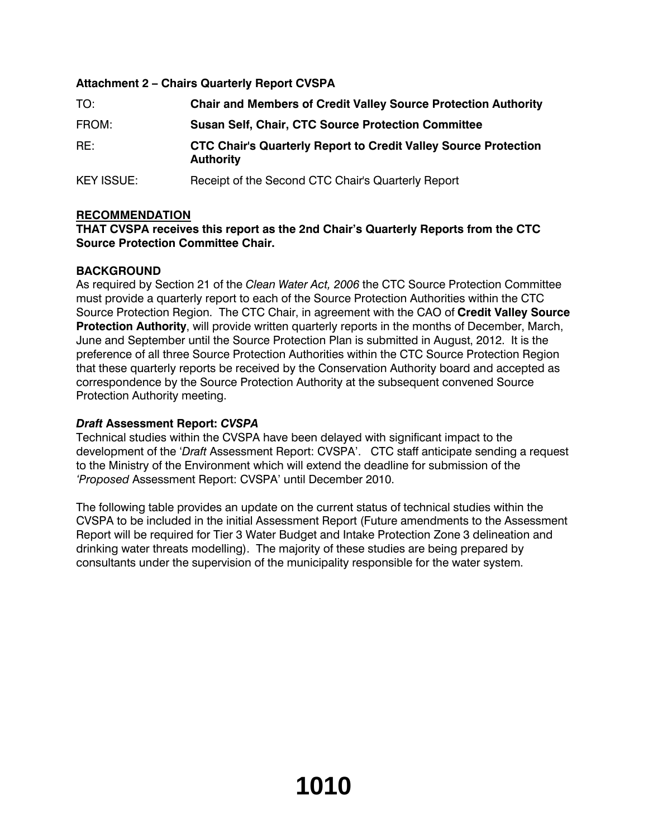## **Attachment 2 – Chairs Quarterly Report CVSPA**

| TO:               | <b>Chair and Members of Credit Valley Source Protection Authority</b>                      |
|-------------------|--------------------------------------------------------------------------------------------|
| FROM:             | <b>Susan Self, Chair, CTC Source Protection Committee</b>                                  |
| RE:               | <b>CTC Chair's Quarterly Report to Credit Valley Source Protection</b><br><b>Authority</b> |
| <b>KEY ISSUE:</b> | Receipt of the Second CTC Chair's Quarterly Report                                         |

## **RECOMMENDATION**

## **THAT CVSPA receives this report as the 2nd Chair's Quarterly Reports from the CTC Source Protection Committee Chair.**

## **BACKGROUND**

As required by Section 21 of the *Clean Water Act, 2006* the CTC Source Protection Committee must provide a quarterly report to each of the Source Protection Authorities within the CTC Source Protection Region. The CTC Chair, in agreement with the CAO of **Credit Valley Source Protection Authority**, will provide written quarterly reports in the months of December, March, June and September until the Source Protection Plan is submitted in August, 2012. It is the preference of all three Source Protection Authorities within the CTC Source Protection Region that these quarterly reports be received by the Conservation Authority board and accepted as correspondence by the Source Protection Authority at the subsequent convened Source Protection Authority meeting.

## *Draft* **Assessment Report:** *CVSPA*

Technical studies within the CVSPA have been delayed with significant impact to the development of the '*Draft* Assessment Report: CVSPA'. CTC staff anticipate sending a request to the Ministry of the Environment which will extend the deadline for submission of the *'Proposed* Assessment Report: CVSPA' until December 2010.

The following table provides an update on the current status of technical studies within the CVSPA to be included in the initial Assessment Report (Future amendments to the Assessment Report will be required for Tier 3 Water Budget and Intake Protection Zone 3 delineation and drinking water threats modelling). The majority of these studies are being prepared by consultants under the supervision of the municipality responsible for the water system.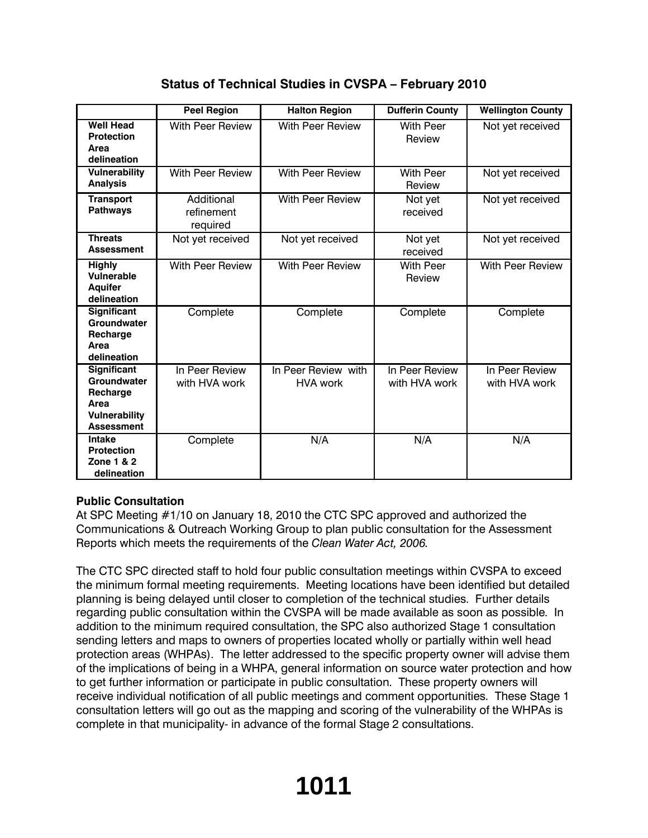|                                                                                             | <b>Peel Region</b>                   | <b>Halton Region</b>                   | <b>Dufferin County</b>          | <b>Wellington County</b>        |
|---------------------------------------------------------------------------------------------|--------------------------------------|----------------------------------------|---------------------------------|---------------------------------|
| <b>Well Head</b><br><b>Protection</b><br>Area<br>delineation                                | With Peer Review                     | <b>With Peer Review</b>                | <b>With Peer</b><br>Review      | Not yet received                |
| <b>Vulnerability</b><br><b>Analysis</b>                                                     | <b>With Peer Review</b>              | With Peer Review                       | <b>With Peer</b><br>Review      | Not yet received                |
| <b>Transport</b><br><b>Pathways</b>                                                         | Additional<br>refinement<br>required | <b>With Peer Review</b>                | Not yet<br>received             | Not yet received                |
| <b>Threats</b><br><b>Assessment</b>                                                         | Not yet received                     | Not yet received                       | Not yet<br>received             | Not yet received                |
| <b>Highly</b><br>Vulnerable<br><b>Aquifer</b><br>delineation                                | <b>With Peer Review</b>              | <b>With Peer Review</b>                | <b>With Peer</b><br>Review      | <b>With Peer Review</b>         |
| Significant<br>Groundwater<br>Recharge<br>Area<br>delineation                               | Complete                             | Complete                               | Complete                        | Complete                        |
| Significant<br>Groundwater<br>Recharge<br>Area<br><b>Vulnerability</b><br><b>Assessment</b> | In Peer Review<br>with HVA work      | In Peer Review with<br><b>HVA work</b> | In Peer Review<br>with HVA work | In Peer Review<br>with HVA work |
| Intake<br><b>Protection</b><br>Zone 1 & 2<br>delineation                                    | Complete                             | N/A                                    | N/A                             | N/A                             |

# **Status of Technical Studies in CVSPA – February 2010**

## **Public Consultation**

At SPC Meeting #1/10 on January 18, 2010 the CTC SPC approved and authorized the Communications & Outreach Working Group to plan public consultation for the Assessment Reports which meets the requirements of the *Clean Water Act, 2006.* 

The CTC SPC directed staff to hold four public consultation meetings within CVSPA to exceed the minimum formal meeting requirements. Meeting locations have been identified but detailed planning is being delayed until closer to completion of the technical studies. Further details regarding public consultation within the CVSPA will be made available as soon as possible. In addition to the minimum required consultation, the SPC also authorized Stage 1 consultation sending letters and maps to owners of properties located wholly or partially within well head protection areas (WHPAs). The letter addressed to the specific property owner will advise them of the implications of being in a WHPA, general information on source water protection and how to get further information or participate in public consultation. These property owners will receive individual notification of all public meetings and comment opportunities. These Stage 1 consultation letters will go out as the mapping and scoring of the vulnerability of the WHPAs is complete in that municipality- in advance of the formal Stage 2 consultations.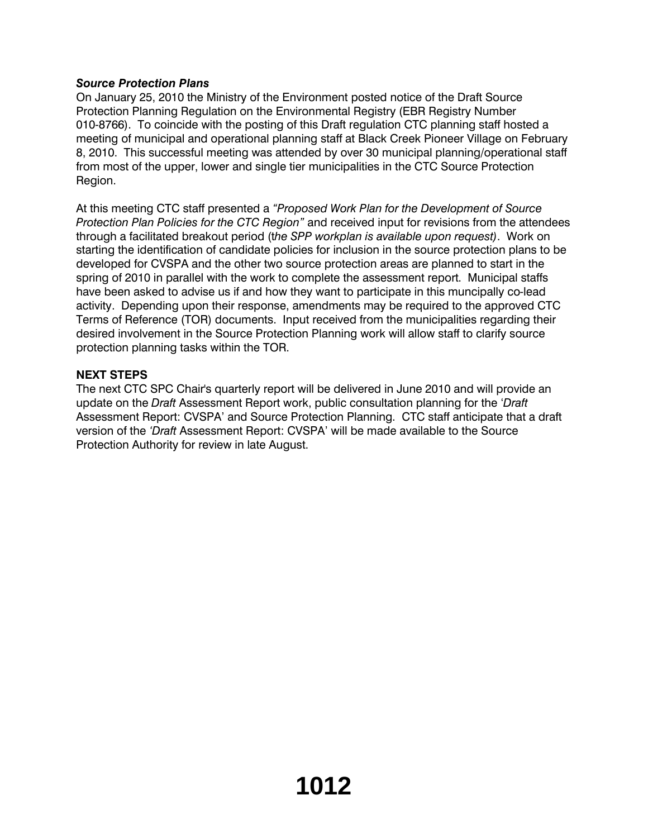## *Source Protection Plans*

On January 25, 2010 the Ministry of the Environment posted notice of the Draft Source Protection Planning Regulation on the Environmental Registry (EBR Registry Number 010-8766). To coincide with the posting of this Draft regulation CTC planning staff hosted a meeting of municipal and operational planning staff at Black Creek Pioneer Village on February 8, 2010. This successful meeting was attended by over 30 municipal planning/operational staff from most of the upper, lower and single tier municipalities in the CTC Source Protection Region.

At this meeting CTC staff presented a *"Proposed Work Plan for the Development of Source Protection Plan Policies for the CTC Region"* and received input for revisions from the attendees through a facilitated breakout period (t*he SPP workplan is available upon request)*. Work on starting the identification of candidate policies for inclusion in the source protection plans to be developed for CVSPA and the other two source protection areas are planned to start in the spring of 2010 in parallel with the work to complete the assessment report. Municipal staffs have been asked to advise us if and how they want to participate in this muncipally co-lead activity. Depending upon their response, amendments may be required to the approved CTC Terms of Reference (TOR) documents. Input received from the municipalities regarding their desired involvement in the Source Protection Planning work will allow staff to clarify source protection planning tasks within the TOR.

## **NEXT STEPS**

The next CTC SPC Chair's quarterly report will be delivered in June 2010 and will provide an update on the *Draft* Assessment Report work, public consultation planning for the '*Draft* Assessment Report: CVSPA' and Source Protection Planning. CTC staff anticipate that a draft version of the *'Draft* Assessment Report: CVSPA' will be made available to the Source Protection Authority for review in late August.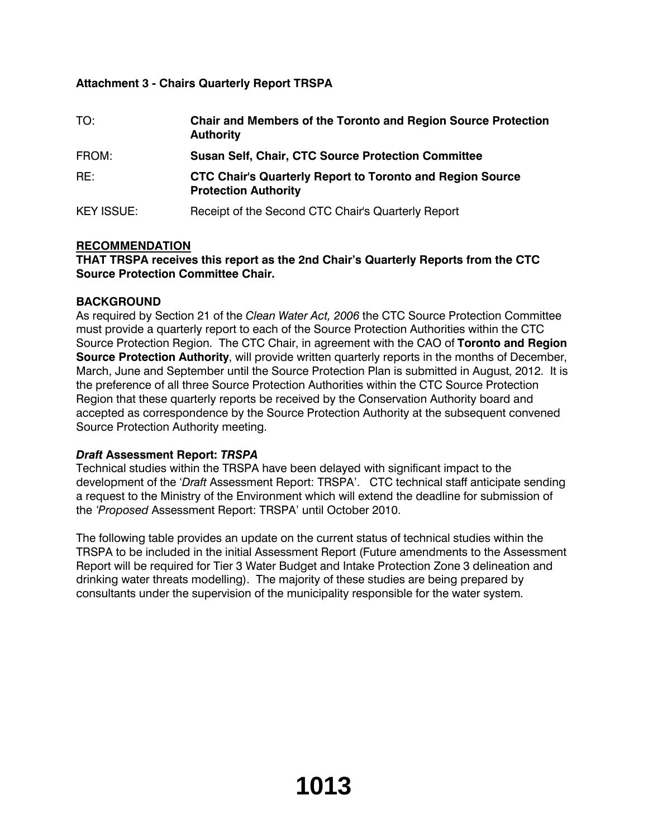## **Attachment 3 - Chairs Quarterly Report TRSPA**

| TO:               | <b>Chair and Members of the Toronto and Region Source Protection</b><br><b>Authority</b>        |
|-------------------|-------------------------------------------------------------------------------------------------|
| FROM:             | <b>Susan Self, Chair, CTC Source Protection Committee</b>                                       |
| RE:               | <b>CTC Chair's Quarterly Report to Toronto and Region Source</b><br><b>Protection Authority</b> |
| <b>KEY ISSUE:</b> | Receipt of the Second CTC Chair's Quarterly Report                                              |

## **RECOMMENDATION**

## **THAT TRSPA receives this report as the 2nd Chair's Quarterly Reports from the CTC Source Protection Committee Chair.**

## **BACKGROUND**

As required by Section 21 of the *Clean Water Act, 2006* the CTC Source Protection Committee must provide a quarterly report to each of the Source Protection Authorities within the CTC Source Protection Region. The CTC Chair, in agreement with the CAO of **Toronto and Region Source Protection Authority**, will provide written quarterly reports in the months of December, March, June and September until the Source Protection Plan is submitted in August, 2012. It is the preference of all three Source Protection Authorities within the CTC Source Protection Region that these quarterly reports be received by the Conservation Authority board and accepted as correspondence by the Source Protection Authority at the subsequent convened Source Protection Authority meeting.

## *Draft* **Assessment Report:** *TRSPA*

Technical studies within the TRSPA have been delayed with significant impact to the development of the '*Draft* Assessment Report: TRSPA'. CTC technical staff anticipate sending a request to the Ministry of the Environment which will extend the deadline for submission of the *'Proposed* Assessment Report: TRSPA' until October 2010.

The following table provides an update on the current status of technical studies within the TRSPA to be included in the initial Assessment Report (Future amendments to the Assessment Report will be required for Tier 3 Water Budget and Intake Protection Zone 3 delineation and drinking water threats modelling). The majority of these studies are being prepared by consultants under the supervision of the municipality responsible for the water system.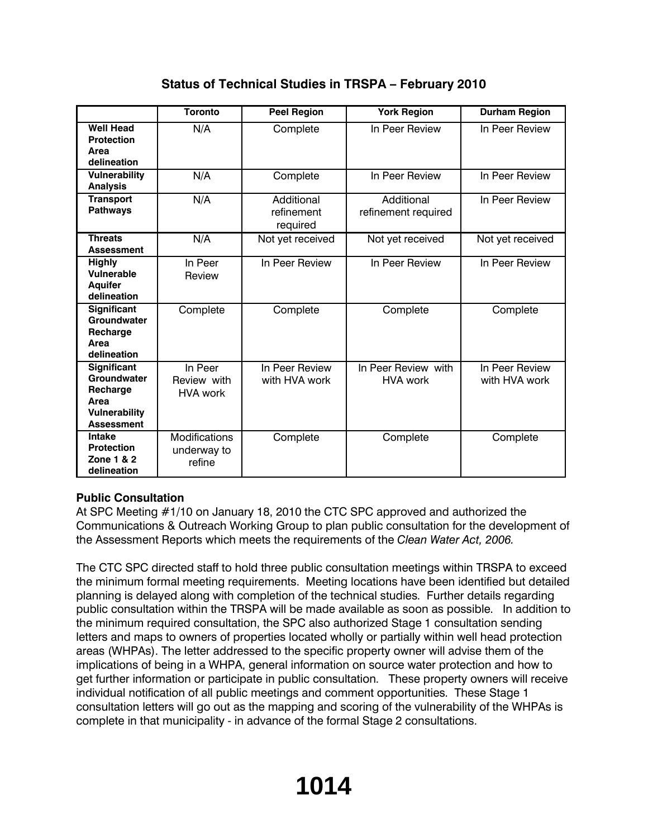|                                                                                             | <b>Toronto</b>                                | <b>Peel Region</b>                   | <b>York Region</b>                     | <b>Durham Region</b>            |
|---------------------------------------------------------------------------------------------|-----------------------------------------------|--------------------------------------|----------------------------------------|---------------------------------|
| <b>Well Head</b><br><b>Protection</b><br>Area<br>delineation                                | N/A                                           | Complete                             | In Peer Review                         | In Peer Review                  |
| <b>Vulnerability</b><br><b>Analysis</b>                                                     | N/A                                           | Complete                             | In Peer Review                         | In Peer Review                  |
| <b>Transport</b><br><b>Pathways</b>                                                         | N/A                                           | Additional<br>refinement<br>required | Additional<br>refinement required      | In Peer Review                  |
| <b>Threats</b><br><b>Assessment</b>                                                         | N/A                                           | Not yet received                     | Not yet received                       | Not yet received                |
| <b>Highly</b><br>Vulnerable<br><b>Aquifer</b><br>delineation                                | In Peer<br>Review                             | In Peer Review                       | In Peer Review                         | In Peer Review                  |
| Significant<br>Groundwater<br>Recharge<br>Area<br>delineation                               | Complete                                      | Complete                             | Complete                               | Complete                        |
| Significant<br>Groundwater<br>Recharge<br>Area<br><b>Vulnerability</b><br><b>Assessment</b> | In Peer<br>Review with<br><b>HVA work</b>     | In Peer Review<br>with HVA work      | In Peer Review with<br><b>HVA work</b> | In Peer Review<br>with HVA work |
| Intake<br><b>Protection</b><br>Zone 1 & 2<br>delineation                                    | <b>Modifications</b><br>underway to<br>refine | Complete                             | Complete                               | Complete                        |

# **Status of Technical Studies in TRSPA – February 2010**

## **Public Consultation**

At SPC Meeting #1/10 on January 18, 2010 the CTC SPC approved and authorized the Communications & Outreach Working Group to plan public consultation for the development of the Assessment Reports which meets the requirements of the *Clean Water Act, 2006.*

The CTC SPC directed staff to hold three public consultation meetings within TRSPA to exceed the minimum formal meeting requirements. Meeting locations have been identified but detailed planning is delayed along with completion of the technical studies. Further details regarding public consultation within the TRSPA will be made available as soon as possible. In addition to the minimum required consultation, the SPC also authorized Stage 1 consultation sending letters and maps to owners of properties located wholly or partially within well head protection areas (WHPAs). The letter addressed to the specific property owner will advise them of the implications of being in a WHPA, general information on source water protection and how to get further information or participate in public consultation. These property owners will receive individual notification of all public meetings and comment opportunities. These Stage 1 consultation letters will go out as the mapping and scoring of the vulnerability of the WHPAs is complete in that municipality - in advance of the formal Stage 2 consultations.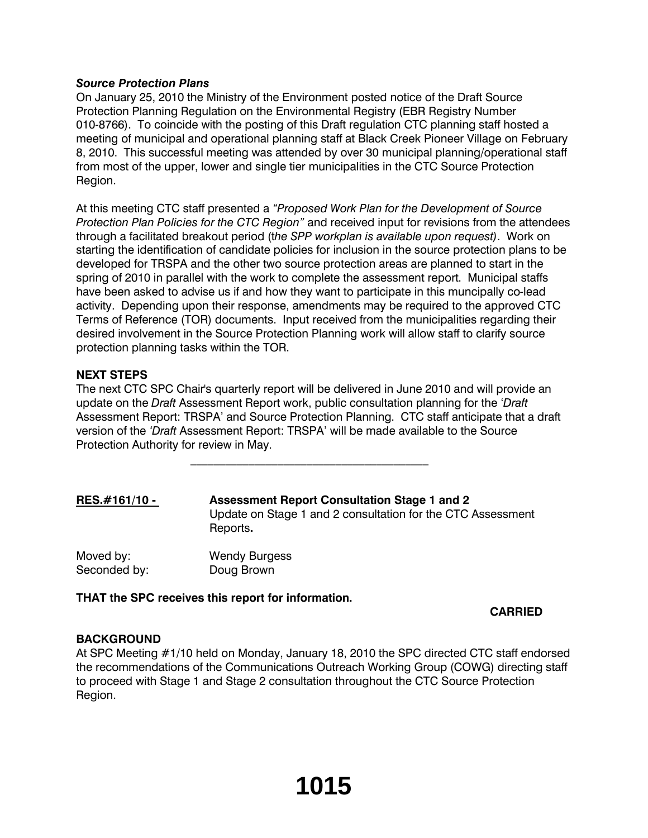#### *Source Protection Plans*

On January 25, 2010 the Ministry of the Environment posted notice of the Draft Source Protection Planning Regulation on the Environmental Registry (EBR Registry Number 010-8766). To coincide with the posting of this Draft regulation CTC planning staff hosted a meeting of municipal and operational planning staff at Black Creek Pioneer Village on February 8, 2010. This successful meeting was attended by over 30 municipal planning/operational staff from most of the upper, lower and single tier municipalities in the CTC Source Protection Region.

At this meeting CTC staff presented a *"Proposed Work Plan for the Development of Source Protection Plan Policies for the CTC Region"* and received input for revisions from the attendees through a facilitated breakout period (t*he SPP workplan is available upon request)*. Work on starting the identification of candidate policies for inclusion in the source protection plans to be developed for TRSPA and the other two source protection areas are planned to start in the spring of 2010 in parallel with the work to complete the assessment report. Municipal staffs have been asked to advise us if and how they want to participate in this muncipally co-lead activity. Depending upon their response, amendments may be required to the approved CTC Terms of Reference (TOR) documents. Input received from the municipalities regarding their desired involvement in the Source Protection Planning work will allow staff to clarify source protection planning tasks within the TOR.

## **NEXT STEPS**

The next CTC SPC Chair's quarterly report will be delivered in June 2010 and will provide an update on the *Draft* Assessment Report work, public consultation planning for the '*Draft* Assessment Report: TRSPA' and Source Protection Planning. CTC staff anticipate that a draft version of the *'Draft* Assessment Report: TRSPA' will be made available to the Source Protection Authority for review in May.

 $\mathcal{L}_\text{max}$ 

| RES.#161/10 - | <b>Assessment Report Consultation Stage 1 and 2</b><br>Update on Stage 1 and 2 consultation for the CTC Assessment<br>Reports. |
|---------------|--------------------------------------------------------------------------------------------------------------------------------|
| Moved by:     | <b>Wendy Burgess</b>                                                                                                           |
| Seconded by:  | Doug Brown                                                                                                                     |

**THAT the SPC receives this report for information.**

## **CARRIED**

#### **BACKGROUND**

At SPC Meeting #1/10 held on Monday, January 18, 2010 the SPC directed CTC staff endorsed the recommendations of the Communications Outreach Working Group (COWG) directing staff to proceed with Stage 1 and Stage 2 consultation throughout the CTC Source Protection Region.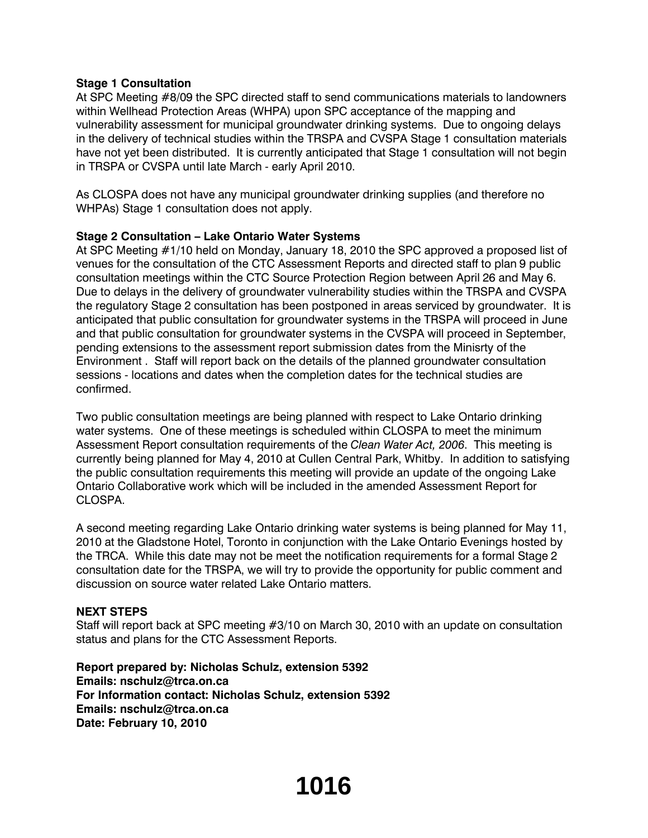#### **Stage 1 Consultation**

At SPC Meeting #8/09 the SPC directed staff to send communications materials to landowners within Wellhead Protection Areas (WHPA) upon SPC acceptance of the mapping and vulnerability assessment for municipal groundwater drinking systems. Due to ongoing delays in the delivery of technical studies within the TRSPA and CVSPA Stage 1 consultation materials have not yet been distributed. It is currently anticipated that Stage 1 consultation will not begin in TRSPA or CVSPA until late March - early April 2010.

As CLOSPA does not have any municipal groundwater drinking supplies (and therefore no WHPAs) Stage 1 consultation does not apply.

## **Stage 2 Consultation – Lake Ontario Water Systems**

At SPC Meeting #1/10 held on Monday, January 18, 2010 the SPC approved a proposed list of venues for the consultation of the CTC Assessment Reports and directed staff to plan 9 public consultation meetings within the CTC Source Protection Region between April 26 and May 6. Due to delays in the delivery of groundwater vulnerability studies within the TRSPA and CVSPA the regulatory Stage 2 consultation has been postponed in areas serviced by groundwater. It is anticipated that public consultation for groundwater systems in the TRSPA will proceed in June and that public consultation for groundwater systems in the CVSPA will proceed in September, pending extensions to the assessment report submission dates from the Minisrty of the Environment . Staff will report back on the details of the planned groundwater consultation sessions - locations and dates when the completion dates for the technical studies are confirmed.

Two public consultation meetings are being planned with respect to Lake Ontario drinking water systems. One of these meetings is scheduled within CLOSPA to meet the minimum Assessment Report consultation requirements of the *Clean Water Act, 2006*. This meeting is currently being planned for May 4, 2010 at Cullen Central Park, Whitby. In addition to satisfying the public consultation requirements this meeting will provide an update of the ongoing Lake Ontario Collaborative work which will be included in the amended Assessment Report for CLOSPA.

A second meeting regarding Lake Ontario drinking water systems is being planned for May 11, 2010 at the Gladstone Hotel, Toronto in conjunction with the Lake Ontario Evenings hosted by the TRCA. While this date may not be meet the notification requirements for a formal Stage 2 consultation date for the TRSPA, we will try to provide the opportunity for public comment and discussion on source water related Lake Ontario matters.

#### **NEXT STEPS**

Staff will report back at SPC meeting #3/10 on March 30, 2010 with an update on consultation status and plans for the CTC Assessment Reports.

**Report prepared by: Nicholas Schulz, extension 5392 Emails: nschulz@trca.on.ca For Information contact: Nicholas Schulz, extension 5392 Emails: nschulz@trca.on.ca Date: February 10, 2010**

# **1016**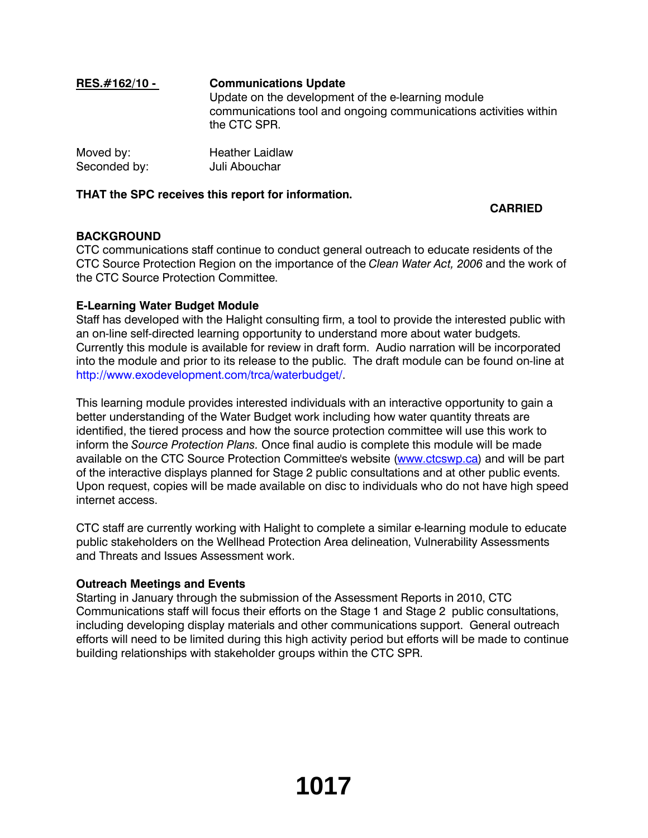# **RES.#162/10 - Communications Update** Update on the development of the e-learning module communications tool and ongoing communications activities within the CTC SPR.

| Moved by:    | <b>Heather Laidlaw</b> |
|--------------|------------------------|
| Seconded by: | Juli Abouchar          |

## **THAT the SPC receives this report for information.**

## **CARRIED**

## **BACKGROUND**

CTC communications staff continue to conduct general outreach to educate residents of the CTC Source Protection Region on the importance of the *Clean Water Act, 2006* and the work of the CTC Source Protection Committee.

## **E-Learning Water Budget Module**

Staff has developed with the Halight consulting firm, a tool to provide the interested public with an on-line self-directed learning opportunity to understand more about water budgets. Currently this module is available for review in draft form. Audio narration will be incorporated into the module and prior to its release to the public. The draft module can be found on-line at http://www.exodevelopment.com/trca/waterbudget/.

This learning module provides interested individuals with an interactive opportunity to gain a better understanding of the Water Budget work including how water quantity threats are identified, the tiered process and how the source protection committee will use this work to inform the *Source Protection Plans.* Once final audio is complete this module will be made available on the CTC Source Protection Committee's website (www.ctcswp.ca) and will be part of the interactive displays planned for Stage 2 public consultations and at other public events. Upon request, copies will be made available on disc to individuals who do not have high speed internet access.

CTC staff are currently working with Halight to complete a similar e-learning module to educate public stakeholders on the Wellhead Protection Area delineation, Vulnerability Assessments and Threats and Issues Assessment work.

## **Outreach Meetings and Events**

Starting in January through the submission of the Assessment Reports in 2010, CTC Communications staff will focus their efforts on the Stage 1 and Stage 2 public consultations, including developing display materials and other communications support. General outreach efforts will need to be limited during this high activity period but efforts will be made to continue building relationships with stakeholder groups within the CTC SPR.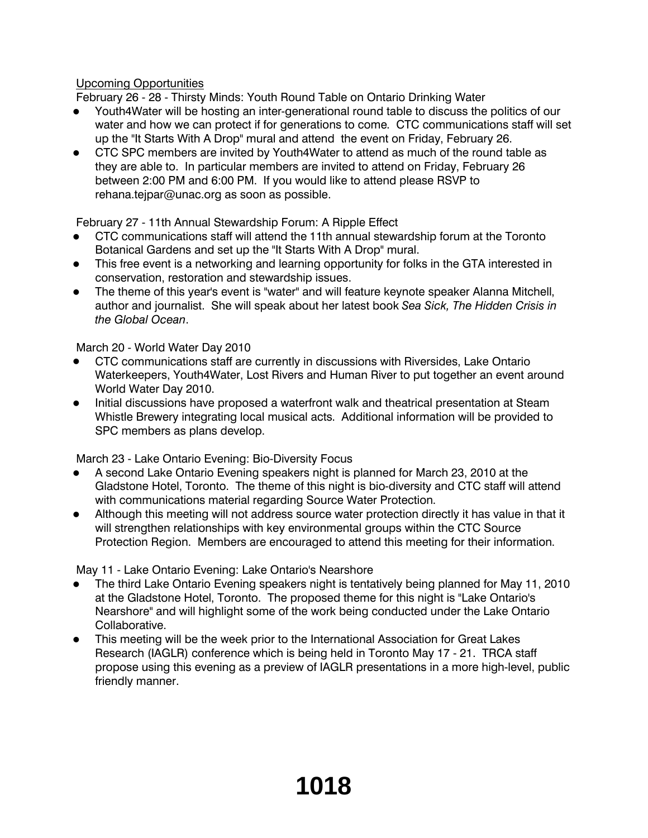## Upcoming Opportunities

February 26 - 28 - Thirsty Minds: Youth Round Table on Ontario Drinking Water

- Youth4Water will be hosting an inter-generational round table to discuss the politics of our water and how we can protect if for generations to come. CTC communications staff will set up the "It Starts With A Drop" mural and attend the event on Friday, February 26.
- CTC SPC members are invited by Youth4Water to attend as much of the round table as they are able to. In particular members are invited to attend on Friday, February 26 between 2:00 PM and 6:00 PM. If you would like to attend please RSVP to rehana.tejpar@unac.org as soon as possible.

February 27 - 11th Annual Stewardship Forum: A Ripple Effect

- CTC communications staff will attend the 11th annual stewardship forum at the Toronto Botanical Gardens and set up the "It Starts With A Drop" mural.
- This free event is a networking and learning opportunity for folks in the GTA interested in conservation, restoration and stewardship issues.
- The theme of this year's event is "water" and will feature keynote speaker Alanna Mitchell, author and journalist. She will speak about her latest book *Sea Sick, The Hidden Crisis in the Global Ocean*.

March 20 - World Water Day 2010

- CTC communications staff are currently in discussions with Riversides, Lake Ontario Waterkeepers, Youth4Water, Lost Rivers and Human River to put together an event around World Water Day 2010.
- Initial discussions have proposed a waterfront walk and theatrical presentation at Steam Whistle Brewery integrating local musical acts. Additional information will be provided to SPC members as plans develop.

March 23 - Lake Ontario Evening: Bio-Diversity Focus

- A second Lake Ontario Evening speakers night is planned for March 23, 2010 at the Gladstone Hotel, Toronto. The theme of this night is bio-diversity and CTC staff will attend with communications material regarding Source Water Protection.
- Although this meeting will not address source water protection directly it has value in that it will strengthen relationships with key environmental groups within the CTC Source Protection Region. Members are encouraged to attend this meeting for their information.

May 11 - Lake Ontario Evening: Lake Ontario's Nearshore

- The third Lake Ontario Evening speakers night is tentatively being planned for May 11, 2010 at the Gladstone Hotel, Toronto. The proposed theme for this night is "Lake Ontario's Nearshore" and will highlight some of the work being conducted under the Lake Ontario Collaborative.
- This meeting will be the week prior to the International Association for Great Lakes Research (IAGLR) conference which is being held in Toronto May 17 - 21. TRCA staff propose using this evening as a preview of IAGLR presentations in a more high-level, public friendly manner.